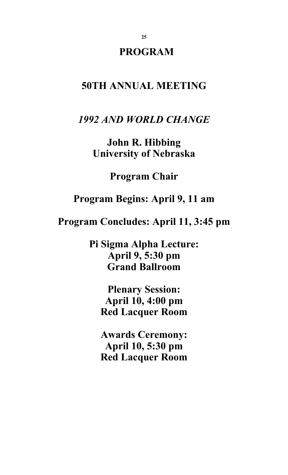# **PROGRAM**

# **50TH ANNUAL MEETING**

*1992 AND WORLD CHANGE*

**John R. Hibbing University of Nebraska** 

**Program Chair** 

**Program Begins: April 9, 11 am** 

**Program Concludes: April 11, 3:45 pm** 

**Pi Sigma Alpha Lecture: April 9, 5:30 pm Grand Ballroom** 

> **Plenary Session: April 10, 4:00 pm Red Lacquer Room**

> **Awards Ceremony: April 10, 5:30 pm Red Lacquer Room**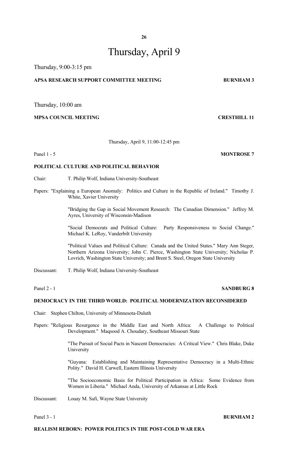# Thursday, April 9

Thursday, 9:00-3:15 pm

# **APSA RESEARCH SUPPORT COMMITTEE MEETING BURNHAM 3**

Thursday, 10:00 am

# **MPSA COUNCIL MEETING CRESTHILL 11**

Thursday, April 9, 11:00-12:45 pm

Panel 1 - 5 **MONTROSE** 7

# **POLITICAL CULTURE AND POLITICAL BEHAVIOR**

- Chair: T. Philip Wolf, Indiana University-Southeast
- Papers: "Explaining a European Anomaly: Politics and Culture in the Republic of Ireland." Timothy J. White, Xavier University

 "Bridging the Gap in Social Movement Research: The Canadian Dimension." Jeffrey M. Ayres, University of Wisconsin-Madison

 "Social Democrats and Political Culture: Party Responsiveness to Social Change." Michael K. LeRoy, Vanderbilt University

 "Political Values and Political Culture: Canada and the United States." Mary Ann Steger, Northern Arizona University; John C. Pierce, Washington State University; Nicholas P. Lovrich, Washington State University; and Brent S. Steel, Oregon State University

Discussant: T. Philip Wolf, Indiana University-Southeast

# Panel 2 - 1 **SANDBURG 8**

# **DEMOCRACY IN THE THIRD WORLD: POLITICAL MODERNIZATION RECONSIDERED**

Chair: Stephen Chilton, University of Minnesota-Duluth

Papers: "Religious Resurgence in the Middle East and North Africa: A Challenge to Political Development." Maqsood A. Choudary, Southeast Missouri State

> "The Pursuit of Social Pacts in Nascent Democracies: A Critical View." Chris Blake, Duke University

> "Guyana: Establishing and Maintaining Representative Democracy in a Multi-Ethnic Polity." David H. Carwell, Eastern Illinois University

> "The Socioeconomic Basis for Political Participation in Africa: Some Evidence from Women in Liberia." Michael Anda, University of Arkansas at Little Rock

Discussant: Louay M. Safi, Wayne State University

#### **Panel 3 - 1 BURNHAM 2**

# **REALISM REBORN: POWER POLITICS IN THE POST-COLD WAR ERA**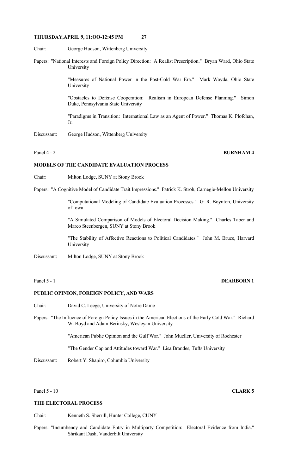Chair: George Hudson, Wittenberg University

Papers: "National Interests and Foreign Policy Direction: A Realist Prescription." Bryan Ward, Ohio State University

> "Measures of National Power in the Post-Cold War Era." Mark Wayda, Ohio State University

> "Obstacles to Defense Cooperation: Realism in European Defense Planning." Simon Duke, Pennsylvania State University

> "Paradigms in Transition: International Law as an Agent of Power." Thomas K. Plofchan, Jr.

Discussant: George Hudson, Wittenberg University

# Panel 4 - 2 **BURNHAM 4**

# **MODELS OF THE CANDIDATE EVALUATION PROCESS**

- Chair: Milton Lodge, SUNY at Stony Brook
- Papers: "A Cognitive Model of Candidate Trait Impressions." Patrick K. Stroh, Carnegie-Mellon University

 "Computational Modeling of Candidate Evaluation Processes." G. R. Boynton, University of Iowa

 "A Simulated Comparison of Models of Electoral Decision Making." Charles Taber and Marco Steenbergen, SUNY at Stony Brook

 "The Stability of Affective Reactions to Political Candidates." John M. Bruce, Harvard University

Discussant: Milton Lodge, SUNY at Stony Brook

| anel. |  |
|-------|--|
|-------|--|

# **DEARBORN 1**

# **PUBLIC OPINION, FOREIGN POLICY, AND WARS**

- Chair: David C. Leege, University of Notre Dame
- Papers: "The Influence of Foreign Policy Issues in the American Elections of the Early Cold War." Richard W. Boyd and Adam Berinsky, Wesleyan University

"American Public Opinion and the Gulf War." John Mueller, University of Rochester

"The Gender Gap and Attitudes toward War." Lisa Brandes, Tufts University

Discussant: Robert Y. Shapiro, Columbia University

Panel 5 - 10 **CLARK 5** 

# **THE ELECTORAL PROCESS**

Chair: Kenneth S. Sherrill, Hunter College, CUNY

Papers: "Incumbency and Candidate Entry in Multiparty Competition: Electoral Evidence from India." Shrikant Dash, Vanderbilt University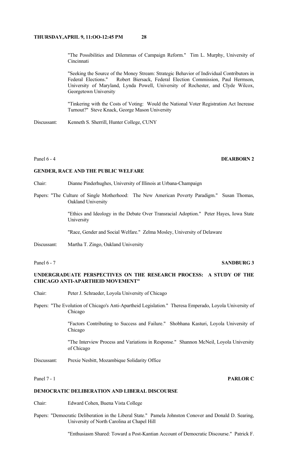"The Possibilities and Dilemmas of Campaign Reform." Tim L. Murphy, University of **Cincinnati** 

 "Seeking the Source of the Money Stream: Strategic Behavior of Individual Contributors in Federal Elections." Robert Biersack, Federal Election Commission, Paul Herrnson, University of Maryland, Lynda Powell, University of Rochester, and Clyde Wilcox, Georgetown University

 "Tinkering with the Costs of Voting: Would the National Voter Registration Act Increase Turnout?" Steve Knack, George Mason University

Discussant: Kenneth S. Sherrill, Hunter College, CUNY

# Panel 6 - 4 **DEARBORN 2**

#### **GENDER, RACE AND THE PUBLIC WELFARE**

- Chair: Dianne Pinderhughes, University of Illinois at Urbana-Champaign
- Papers: "The Culture of Single Motherhood: The New American Poverty Paradigm." Susan Thomas, Oakland University

 "Ethics and Ideology in the Debate Over Transracial Adoption." Peter Hayes, Iowa State University

"Race, Gender and Social Welfare." Zelma Mosley, University of Delaware

Discussant: Martha T. Zingo, Oakland University

# Panel 6 - 7 SANDBURG 3

# **UNDERGRADUATE PERSPECTIVES ON THE RESEARCH PROCESS: A STUDY OF THE CHICAGO ANTI-APARTHEID MOVEMENT"**

- Chair: Peter J. Schraeder, Loyola University of Chicago
- Papers: "The Evolution of Chicago's Anti-Apartheid Legislation." Theresa Emperado, Loyola University of Chicago

 "Factors Contributing to Success and Failure." Shobhana Kasturi, Loyola University of Chicago

 "The Interview Process and Variations in Response." Shannon McNeil, Loyola University of Chicago

Discussant: Prexie Nesbitt, Mozambique Solidarity Office

# Panel 7 - 1 **PARLOR C**

# **DEMOCRATIC DELIBERATION AND LIBERAL DISCOURSE**

Chair: Edward Cohen, Buena Vista College

Papers: "Democratic Deliberation in the Liberal State." Pamela Johnston Conover and Donald D. Searing, University of North Carolina at Chapel Hill

"Enthusiasm Shared: Toward a Post-Kantian Account of Democratic Discourse." Patrick F.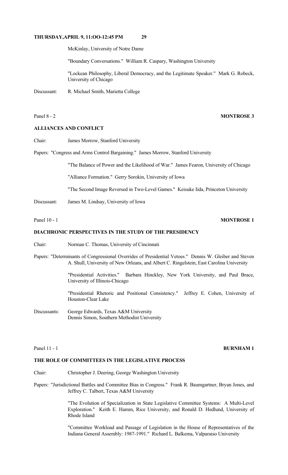McKinlay, University of Notre Dame

"Boundary Conversations." William R. Caspary, Washington University

 "Lockean Philosophy, Liberal Democracy, and the Legitimate Speaker." Mark G. Robeck, University of Chicago

Discussant: R. Michael Smith, Marietta College

#### **ALLIANCES AND CONFLICT**

Chair: James Morrow, Stanford University

Papers: "Congress and Arms Control Bargaining." James Morrow, Stanford University

"The Balance of Power and the Likelihood of War." James Fearon, University of Chicago

"Alliance Formation." Gerry Sorokin, University of Iowa

"The Second Image Reversed in Two-Level Games." Keisuke Iida, Princeton University

Discussant: James M. Lindsay, University of Iowa

# Panel 10 - 1 **MONTROSE 1**

# **DIACHRONIC PERSPECTIVES IN THE STUDY OF THE PRESIDENCY**

- Chair: Norman C. Thomas, University of Cincinnati
- Papers: "Determinants of Congressional Overrides of Presidential Vetoes." Dennis W. Gleiber and Steven A. Shull, University of New Orleans, and Albert C. Ringelstein, East Carolina University

 "Presidential Activities." Barbara Hinckley, New York University, and Paul Brace, University of Illinois-Chicago

 "Presidential Rhetoric and Positional Consistency." Jeffrey E. Cohen, University of Houston-Clear Lake

Discussants: George Edwards, Texas A&M University Dennis Simon, Southern Methodist University

#### Panel 11 - 1 **BURNHAM 1**

### **THE ROLE OF COMMITTEES IN THE LEGISLATIVE PROCESS**

- Chair: Christopher J. Deering, George Washington University
- Papers: "Jurisdictional Battles and Committee Bias in Congress." Frank R. Baumgartner, Bryan Jones, and Jeffrey C. Talbert, Texas A&M University

 "The Evolution of Specialization in State Legislative Committee Systems: A Multi-Level Exploration." Keith E. Hamm, Rice University, and Ronald D. Hedlund, University of Rhode Island

 "Committee Workload and Passage of Legislation in the House of Representatives of the Indiana General Assembly: 1987-1991." Richard L. Balkema, Valparaiso University

#### Panel 8 - 2 **MONTROSE 3**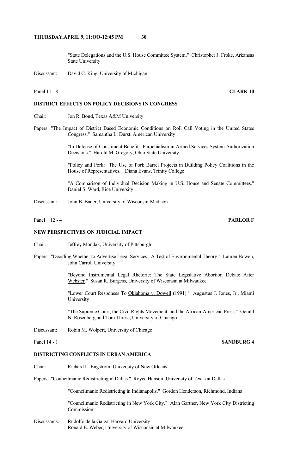"State Delegations and the U.S. House Committee System." Christopher J. Froke, Arkansas State University

Discussant: David C. King, University of Michigan

# **DISTRICT EFFECTS ON POLICY DECISIONS IN CONGRESS**

- Chair: Jon R. Bond, Texas A&M University
- Papers: "The Impact of District Based Economic Conditions on Roll Call Voting in the United States Congress." Samantha L. Durst, American University

 "In Defense of Constituent Benefit: Parochialism in Armed Services System Authorization Decisions." Harold M. Gregory, Ohio State University

 "Policy and Pork: The Use of Pork Barrel Projects in Building Policy Coalitions in the House of Representatives." Diana Evans, Trinity College

 "A Comparison of Individual Decision Making in U.S. House and Senate Committees." Daniel S. Ward, Rice University

Discussant: John B. Bader, University of Wisconsin-Madison

Panel 12 - 4 **PARLOR F** 

#### **NEW PERSPECTIVES ON JUDICIAL IMPACT**

- Chair: Jeffrey Mondak, University of Pittsburgh
- Papers: "Deciding Whether to Advertise Legal Services: A Test of Environmental Theory." Lauren Bowen, John Carroll University

 "Beyond Instrumental Legal Rhetoric: The State Legislative Abortion Debate After Webster." Susan R. Burgess, University of Wisconsin at Milwaukee

"Lower Court Responses To Oklahoma v. Dowell (1991)." Augustus J. Jones, Jr., Miami University

 "The Supreme Court, the Civil Rights Movement, and the African-American Press." Gerald N. Rosenberg and Tom Thress, University of Chicago

Discussant: Robin M. Wolpert, University of Chicago

### **DISTRICTING CONFLICTS IN URBAN AMERICA**

Chair: Richard L. Engstrom, University of New Orleans

Papers: "Councilmanic Redistricting in Dallas." Royce Hanson, University of Texas at Dallas

"Councilmanic Redistricting in Indianapolis." Gordon Henderson, Richmond, Indiana

 "Councilmanic Redistricting in New York City." Alan Gartner, New York City Districting Commission

Discussants: Rudolfo de la Garza, Harvard University Ronald E. Weber, University of Wisconsin at Milwaukee

#### Panel 11 - 8 **CLARK 10**

# Panel 14 - 1 **SANDBURG 4**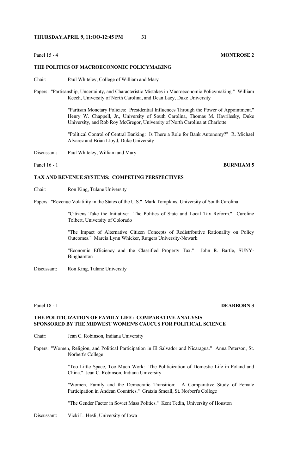# Panel 15 - 4 **MONTROSE 2**

### **THE POLITICS OF MACROECONOMIC POLICYMAKING**

- Chair: Paul Whiteley, College of William and Mary
- Papers: "Partisanship, Uncertainty, and Characteristic Mistakes in Macroeconomic Policymaking." William Keech, University of North Carolina, and Dean Lacy, Duke University

 "Partisan Monetary Policies: Presidential Influences Through the Power of Appointment." Henry W. Chappell, Jr., University of South Carolina, Thomas M. Havrilesky, Duke University, and Rob Roy McGregor, University of North Carolina at Charlotte

 "Political Control of Central Banking: Is There a Role for Bank Autonomy?" R. Michael Alvarez and Brian Lloyd, Duke University

Discussant: Paul Whiteley, William and Mary

# Panel 16 - 1 **BURNHAM 5**

### **TAX AND REVENUE SYSTEMS: COMPETING PERSPECTIVES**

Chair: Ron King, Tulane University

Papers: "Revenue Volatility in the States of the U.S." Mark Tompkins, University of South Carolina

 "Citizens Take the Initiative: The Politics of State and Local Tax Reform." Caroline Tolbert, University of Colorado

 "The Impact of Alternative Citizen Concepts of Redistributive Rationality on Policy Outcomes." Marcia Lynn Whicker, Rutgers University-Newark

 "Economic Efficiency and the Classified Property Tax." John R. Bartle, SUNY-Binghamton

Discussant: Ron King, Tulane University

#### Panel 18 - 1 **DEARBORN 3**

# **THE POLITICIZATION OF FAMILY LIFE: COMPARATIVE ANALYSIS SPONSORED BY THE MIDWEST WOMEN'S CAUCUS FOR POLITICAL SCIENCE**

Chair: Jean C. Robinson, Indiana University

Papers: "Women, Religion, and Political Participation in El Salvador and Nicaragua." Anna Peterson, St. Norbert's College

> "Too Little Space, Too Much Work: The Politicization of Domestic Life in Poland and China." Jean C. Robinson, Indiana University

> "Women, Family and the Democratic Transition: A Comparative Study of Female Participation in Andean Countries." Gratzia Smeall, St. Norbert's College

"The Gender Factor in Soviet Mass Politics." Kent Tedin, University of Houston

Discussant: Vicki L. Hesli, University of Iowa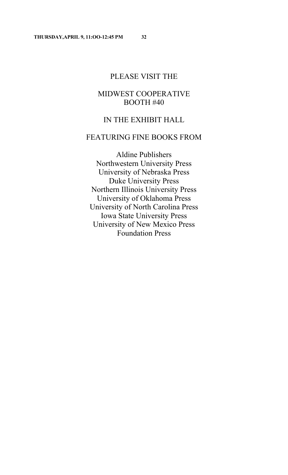# PLEASE VISIT THE

# MIDWEST COOPERATIVE BOOTH #40

# IN THE EXHIBIT HALL

# FEATURING FINE BOOKS FROM

Aldine Publishers Northwestern University Press University of Nebraska Press Duke University Press Northern Illinois University Press University of Oklahoma Press University of North Carolina Press Iowa State University Press University of New Mexico Press Foundation Press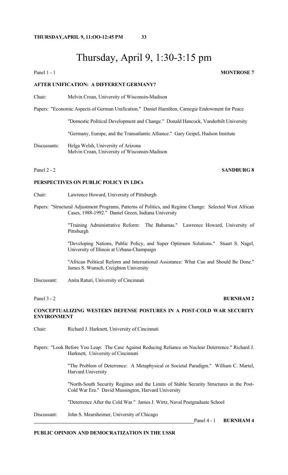# Thursday, April 9, 1:30-3:15 pm

Panel 1 - 1 **MONTROSE** 7

## **AFTER UNIFICATION: A DIFFERENT GERMANY?**

Chair: Melvin Croan, University of Wisconsin-Madison

Papers: "Economic Aspects of German Unification." Daniel Hamilton, Carnegie Endowment for Peace

"Domestic Political Development and Change." Donald Hancock, Vanderbilt University

"Germany, Europe, and the Transatlantic Alliance." Gary Geipel, Hudson Institute

Discussants: Helga Welsh, University of Arizona Melvin Croan, University of Wisconsin-Madison

# Panel 2 - 2 SANDBURG 8

# **PERSPECTIVES ON PUBLIC POLICY IN LDCs**

- Chair: Lawrence Howard, University of Pittsburgh
- Papers: "Structural Adjustment Programs, Patterns of Politics, and Regime Change: Selected West African Cases, 1988-1992." Daniel Green, Indiana University

 "Training Administrative Reform: The Bahamas." Lawrence Howard, University of Pittsburgh

 "Developing Nations, Public Policy, and Super Optimum Solutions." Stuart S. Nagel, University of Illinois at Urbana-Champaign

 "African Political Reform and International Assistance: What Can and Should Be Done." James S. Wunsch, Creighton University

Discussant: Anita Raturi, University of Cincinnati

#### Panel 3 - 2 **BURNHAM 2**

# **CONCEPTUALIZING WESTERN DEFENSE POSTURES IN A POST-COLD WAR SECURITY ENVIRONMENT**

Chair: Richard J. Harknett, University of Cincinnati

Papers: "Look Before You Leap: The Case Against Reducing Reliance on Nuclear Deterrence." Richard J. Harknett, University of Cincinnati

> "The Problem of Deterrence: A Metaphysical or Societal Paradigm." William C. Martel, Harvard University

> "North-South Security Regimes and the Limits of Stable Security Structures in the Post-Cold War Era." David Mussington, Harvard University

"Deterrence After the Cold War." James J. Wirtz, Naval Postgraduate School

Discussant: John S. Mearsheimer, University of Chicago

Panel 4 - 1 **BURNHAM 4**

# **PUBLIC OPINION AND DEMOCRATIZATION IN THE USSR**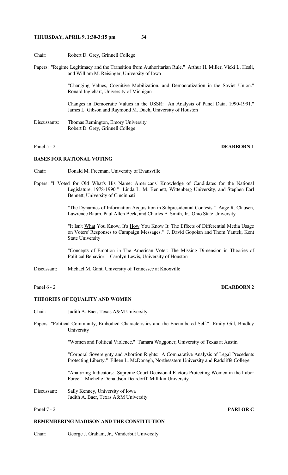- Chair: Robert D. Grey, Grinnell College
- Papers: "Regime Legitimacy and the Transition from Authoritarian Rule." Arthur H. Miller, Vicki L. Hesli, and William M. Reisinger, University of Iowa

 "Changing Values, Cognitive Mobilization, and Democratization in the Soviet Union." Ronald Inglehart, University of Michigan

 Changes in Democratic Values in the USSR: An Analysis of Panel Data, 1990-1991." James L. Gibson and Raymond M. Duch, University of Houston

Discussants: Thomas Remington, Emory University Robert D. Grey, Grinnell College

# Panel 5 - 2 **DEARBORN 1**

### **BASES FOR RATIONAL VOTING**

Chair: Donald M. Freeman, University of Evansville

Papers: "I Voted for Old What's His Name: Americans' Knowledge of Candidates for the National Legislature, 1978-1990." Linda L. M. Bennett, Wittenberg University, and Stephen Earl Bennett, University of Cincinnati

> "The Dynamics of Information Acquisition in Subpresidential Contests." Aage R. Clausen, Lawrence Baum, Paul Allen Beck, and Charles E. Smith, Jr., Ohio State University

> "It Isn't What You Know, It's How You Know It: The Effects of Differential Media Usage on Voters' Responses to Campaign Messages." J. David Gopoian and Thom Yantek, Kent State University

> "Concepts of Emotion in The American Voter: The Missing Dimension in Theories of Political Behavior." Carolyn Lewis, University of Houston

Discussant: Michael M. Gant, University of Tennessee at Knoxville

# Panel 6 - 2 **DEARBORN 2**

#### **THEORIES OF EQUALITY AND WOMEN**

Chair: Judith A. Baer, Texas A&M University

Papers: "Political Community, Embodied Characteristics and the Encumbered Self." Emily Gill, Bradley University

"Women and Political Violence." Tamara Waggoner, University of Texas at Austin

 "Corporal Sovereignty and Abortion Rights: A Comparative Analysis of Legal Precedents Protecting Liberty." Eileen L. McDonagh, Northeastern University and Radcliffe College

 "Analyzing Indicators: Supreme Court Decisional Factors Protecting Women in the Labor Force." Michelle Donaldson Deardorff, Millikin University

Discussant: Sally Kenney, University of Iowa Judith A. Baer, Texas A&M University

#### Panel 7 - 2 **PARLOR C**

### **REMEMBERING MADISON AND THE CONSTITUTION**

Chair: George J. Graham, Jr., Vanderbilt University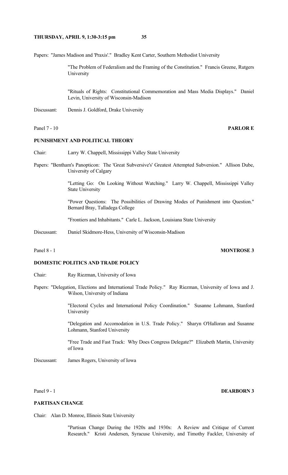Papers: "James Madison and 'Praxis'." Bradley Kent Carter, Southern Methodist University

 "The Problem of Federalism and the Framing of the Constitution." Francis Greene, Rutgers University

 "Rituals of Rights: Constitutional Commemoration and Mass Media Displays." Daniel Levin, University of Wisconsin-Madison

Discussant: Dennis J. Goldford, Drake University

#### Panel 7 - 10 **PARLOR E**

## **PUNISHMENT AND POLITICAL THEORY**

Chair: Larry W. Chappell, Mississippi Valley State University

Papers: "Bentham's Panopticon: The 'Great Subversive's' Greatest Attempted Subversion." Allison Dube, University of Calgary

> "Letting Go: On Looking Without Watching." Larry W. Chappell, Mississippi Valley State University

> "Power Questions: The Possibilities of Drawing Modes of Punishment into Question." Bernard Bray, Talladega College

"Frontiers and Inhabitants." Carle L. Jackson, Louisiana State University

Discussant: Daniel Skidmore-Hess, University of Wisconsin-Madison

# Panel 8 - 1 **MONTROSE 3**

# **DOMESTIC POLITICS AND TRADE POLICY**

- Chair: Ray Riezman, University of Iowa
- Papers: "Delegation, Elections and International Trade Policy." Ray Riezman, University of Iowa and J. Wilson, University of Indiana

 "Electoral Cycles and International Policy Coordination." Susanne Lohmann, Stanford University

 "Delegation and Accomodation in U.S. Trade Policy." Sharyn O'Halloran and Susanne Lohmann, Stanford University

 "Free Trade and Fast Track: Why Does Congress Delegate?" Elizabeth Martin, University of Iowa

Discussant: James Rogers, University of Iowa

Panel 9 - 1 **DEARBORN 3** 

### **PARTISAN CHANGE**

Chair: Alan D. Monroe, Illinois State University

 "Partisan Change During the 1920s and 1930s: A Review and Critique of Current Research." Kristi Andersen, Syracuse University, and Timothy Fackler, University of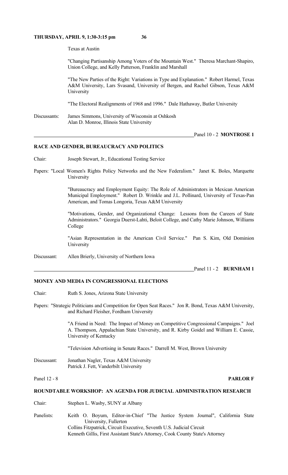Texas at Austin

 "Changing Partisanship Among Voters of the Mountain West." Theresa Marchant-Shapiro, Union College, and Kelly Patterson, Franklin and Marshall

 "The New Parties of the Right: Variations in Type and Explanation." Robert Harmel, Texas A&M University, Lars Svasand, University of Bergen, and Rachel Gibson, Texas A&M University

"The Electoral Realignments of 1968 and 1996." Dale Hathaway, Butler University

Discussants: James Simmons, University of Wisconsin at Oshkosh Alan D. Monroe, Illinois State University

#### Panel 10 - 2 **MONTROSE 1**

#### **RACE AND GENDER, BUREAUCRACY AND POLITICS**

- Chair: Joseph Stewart, Jr., Educational Testing Service
- Papers: "Local Women's Rights Policy Networks and the New Federalism." Janet K. Boles, Marquette University

 "Bureaucracy and Employment Equity: The Role of Administrators in Mexican American Municipal Employment." Robert D. Wrinkle and J.L. Pollinard, University of Texas-Pan American, and Tomas Longoria, Texas A&M University

 "Motivations, Gender, and Organizational Change: Lessons from the Careers of State Administrators." Georgia Duerst-Lahti, Beloit College, and Cathy Marie Johnson, Williams College

 "Asian Representation in the American Civil Service." Pan S. Kim, Old Dominion **University** 

Discussant: Allen Brierly, University of Northern Iowa

Panel 11 - 2 **BURNHAM 1** 

# **MONEY AND MEDIA IN CONGRESSIONAL ELECTIONS**

- Chair: Ruth S. Jones, Arizona State University
- Papers: "Strategic Politicians and Competition for Open Seat Races." Jon R. Bond, Texas A&M University, and Richard Fleisher, Fordham University

 "A Friend in Need: The Impact of Money on Competitive Congressional Campaigns." Joel A. Thompson, Appalachian State University, and R. Kirby Goidel and William E. Cassie, University of Kentucky

"Television Advertising in Senate Races." Darrell M. West, Brown University

Discussant: Jonathan Nagler, Texas A&M University Patrick J. Fett, Vanderbilt University

#### Panel 12 - 8 **PARLOR F**

# **ROUNDTABLE WORKSHOP: AN AGENDA FOR JUDICIAL ADMINISTRATION RESEARCH**

Chair: Stephen L. Wasby, SUNY at Albany

Panelists: Keith O. Boyum, Editor-in-Chief "The Justice System Journal", California State University, Fullerton Collins Fitzpatrick, Circuit Executive, Seventh U.S. Judicial Circuit Kenneth Gillis, First Assistant State's Attorney, Cook County State's Attorney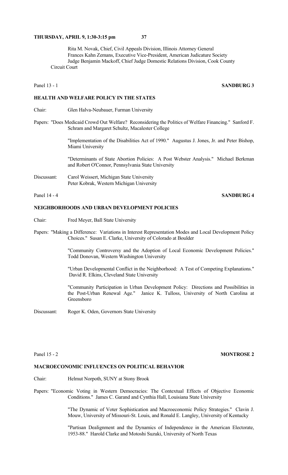Rita M. Novak, Chief, Civil Appeals Division, Illinois Attorney General Frances Kahn Zemans, Executive Vice-President, American Judicature Society Judge Benjamin Mackoff, Chief Judge Domestic Relations Division, Cook County Circuit Court

### Panel 13 - 1 **SANDBURG 3**

# **HEALTH AND WELFARE POLICY IN THE STATES**

- Chair: Glen Halva-Neubauer, Furman University
- Papers: "Does Medicaid Crowd Out Welfare? Reconsidering the Politics of Welfare Financing." Sanford F. Schram and Margaret Schultz, Macalester College

 "Implementation of the Disabilities Act of 1990." Augustus J. Jones, Jr. and Peter Bishop, Miami University

 "Determinants of State Abortion Policies: A Post Webster Analysis." Michael Berkman and Robert O'Connor, Pennsylvania State University

Discussant: Carol Weissert, Michigan State University Peter Kobrak, Western Michigan University

# Panel 14 - 4 **SANDBURG 4**

# **NEIGHBORHOODS AND URBAN DEVELOPMENT POLICIES**

- Chair: Fred Meyer, Ball State University
- Papers: "Making a Difference: Variations in Interest Representation Modes and Local Development Policy Choices." Susan E. Clarke, University of Colorado at Boulder

 "Community Controversy and the Adoption of Local Economic Development Policies." Todd Donovan, Western Washington University

 "Urban Developmental Conflict in the Neighborhood: A Test of Competing Explanations." David R. Elkins, Cleveland State University

 "Community Participation in Urban Development Policy: Directions and Possibilities in the Post-Urban Renewal Age." Janice K. Tulloss, University of North Carolina at Greensboro

Discussant: Roger K. Oden, Governors State University

# Panel 15 - 2 **MONTROSE 2**

# **MACROECONOMIC INFLUENCES ON POLITICAL BEHAVIOR**

- Chair: Helmut Norpoth, SUNY at Stony Brook
- Papers: "Economic Voting in Western Democracies: The Contextual Effects of Objective Economic Conditions." James C. Garand and Cynthia Hall, Louisiana State University

 "The Dynamic of Voter Sophistication and Macroeconomic Policy Strategies." Clavin J. Mouw, University of Missouri-St. Louis, and Ronald E. Langley, University of Kentucky

 "Partisan Dealignment and the Dynamics of Independence in the American Electorate, 1953-88." Harold Clarke and Motoshi Suzuki, University of North Texas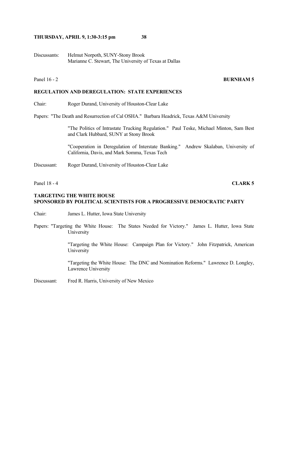Discussants: Helmut Norpoth, SUNY-Stony Brook Marianne C. Stewart, The University of Texas at Dallas

# Panel 16 - 2 **BURNHAM 5**

# **REGULATION AND DEREGULATION: STATE EXPERIENCES**

Chair: Roger Durand, University of Houston-Clear Lake

Papers: "The Death and Resurrection of Cal OSHA." Barbara Headrick, Texas A&M University

 "The Politics of Intrastate Trucking Regulation." Paul Teske, Michael Minton, Sam Best and Clark Hubbard, SUNY at Stony Brook

 "Cooperation in Deregulation of Interstate Banking." Andrew Skalaban, University of California, Davis, and Mark Somma, Texas Tech

Discussant: Roger Durand, University of Houston-Clear Lake

Panel 18 - 4 **CLARK 5**

## **TARGETING THE WHITE HOUSE SPONSORED BY POLITICAL SCIENTISTS FOR A PROGRESSIVE DEMOCRATIC PARTY**

Chair: James L. Hutter, Iowa State University

Papers: "Targeting the White House: The States Needed for Victory." James L. Hutter, Iowa State University

> "Targeting the White House: Campaign Plan for Victory." John Fitzpatrick, American University

> "Targeting the White House: The DNC and Nomination Reforms." Lawrence D. Longley, Lawrence University

Discussant: Fred R. Harris, University of New Mexico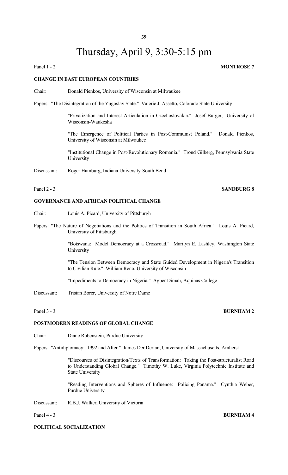# Thursday, April 9, 3:30-5:15 pm

Panel 1 - 2 **MONTROSE** 7

## **CHANGE IN EAST EUROPEAN COUNTRIES**

Chair: Donald Pienkos, University of Wisconsin at Milwaukee

Papers: "The Disintegration of the Yugoslav State." Valerie J. Assetto, Colorado State University

 "Privatization and Interest Articulation in Czechoslovakia." Josef Burger, University of Wisconsin-Waukesha

 "The Emergence of Political Parties in Post-Communist Poland." Donald Pienkos, University of Wisconsin at Milwaukee

 "Institutional Change in Post-Revolutionary Romania." Trond Gilberg, Pennsylvania State University

Discussant: Roger Hamburg, Indiana University-South Bend

#### **GOVERNANCE AND AFRICAN POLITICAL CHANGE**

- Chair: Louis A. Picard, University of Pittsburgh
- Papers: "The Nature of Negotiations and the Politics of Transition in South Africa." Louis A. Picard, University of Pittsburgh

 "Botswana: Model Democracy at a Crossroad." Marilyn E. Lashley, Washington State University

 "The Tension Between Democracy and State Guided Development in Nigeria's Transition to Civilian Rule." William Reno, University of Wisconsin

"Impediments to Democracy in Nigeria." Agber Dimah, Aquinas College

Discussant: Tristan Borer, University of Notre Dame

### **POSTMODERN READINGS OF GLOBAL CHANGE**

Chair: Diane Rubenstein, Purdue University

Papers: "Antidiplomacy: 1992 and After." James Der Derian, University of Massachusetts, Amherst

 "Discourses of Disintegration/Texts of Transformation: Taking the Post-structuralist Road to Understanding Global Change." Timothy W. Luke, Virginia Polytechnic Institute and State University

 "Reading Interventions and Spheres of Influence: Policing Panama." Cynthia Weber, Purdue University

Discussant: R.B.J. Walker, University of Victoria

# **POLITICAL SOCIALIZATION**

# **Panel 3 - 3 BURNHAM 2**

#### Panel 4 - 3 **BURNHAM 4**

# Panel 2 - 3 **SANDBURG 8**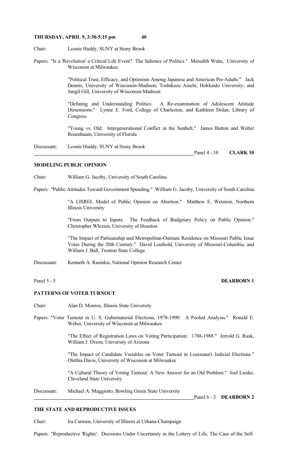Chair: Leonie Huddy, SUNY at Stony Brook

Papers: "Is a 'Revolution' a Critical Life Event? The Salience of Politics." Meredith Watts, University of Wisconsin at Milwaukee

> "Political Trust, Efficacy, and Optimism Among Japanese and American Pre-Adults." Jack Dennis, University of Wisconsin-Madison; Toshikazu Aiuchi, Hokkaido University; and Jungil Gill, University of Wisconsin-Madison

> "Defining and Understanding Politics: A Re-examination of Adolescent Attitude Dimensions." Lynne E. Ford, College of Charleston, and Kathleen Dolan, Library of Congress

> "Young vs. Old: Intergenerational Conflict in the Sunbelt." James Button and Walter Rosenbaum, University of Florida

Discussant: Leonie Huddy, SUNY at Stony Brook **Panel 4 - 10 CLARK 10** 

#### **MODELING PUBLIC OPINION**

Chair: William G. Jacoby, University of South Carolina

Papers: "Public Attitudes Toward Government Spending." William G. Jacoby, University of South Carolina

 "A LISREL Model of Public Opinion on Abortion." Matthew E. Wetstein, Northern Illinois University

 "From Outputs to Inputs: The Feedback of Budgetary Policy on Public Opinion." Christopher Wlezien, University of Houston

 "The Impact of Partisanship and Metropolitan-Outstate Residence on Missouri Public Issue Votes During the 20th Century." David Leuthold, University of Missouri-Columbia, and William J. Ball, Trenton State College

Discussant: Kenneth A. Rasinksi, National Opinion Research Center

#### Panel 5 - 5 **DEARBORN 1**

# **PATTERNS OF VOTER TURNOUT**

Chair: Alan D. Monroe, Illinois State University

Papers: "Voter Turnout in U. S. Gubernatorial Elections, 1978-1990: A Pooled Analysis." Ronald E. Weber, University of Wisconsin at Milwaukee

> "The Effect of Registration Laws on Voting Participation: 1788-1988." Jerrold G. Rusk, William J. Dixon, University of Arizona

> "The Impact of Candidate Variables on Voter Turnout in Louisiana's Judicial Elections." Olethia Davis, University of Wisconsin at Milwaukee

> "A Cultural Theory of Voting Turnout: A New Answer for an Old Problem." Joel Lieske, Cleveland State University

Discussant: Michael A. Maggiotto, Bowling Green State University

Panel 6 - 3 **DEARBORN 2**

# **THE STATE AND REPRODUCTIVE ISSUES**

Chair: Ira Carmen, University of Illinois at Urbana-Champaign

Papers: "Reproductive 'Rights': Decisions Under Uncertainty in the Lottery of Life, The Case of the Self-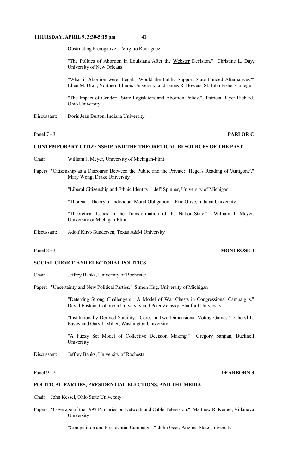Obstructing Prerogative." Virgilio Rodriguez

"The Politics of Abortion in Louisiana After the Webster Decision." Christine L. Day, University of New Orleans

 "What if Abortion were Illegal: Would the Public Support State Funded Alternatives?" Ellen M. Dran, Northern Illinois University, and James R. Bowers, St. John Fisher College

 "The Impact of Gender: State Legislators and Abortion Policy." Patricia Bayer Richard, Ohio University

Discussant: Doris Jean Burton, Indiana University

# Panel 7 - 3 **PARLOR C**

# **CONTEMPORARY CITIZENSHIP AND THE THEORETICAL RESOURCES OF THE PAST**

- Chair: William J. Meyer, University of Michigan-Flint
- Papers: "Citizenship as a Discourse Between the Public and the Private: Hegel's Reading of 'Antigone'." Mary Wong, Drake University

"Liberal Citizenship and Ethnic Identity." Jeff Spinner, University of Michigan

"Thoreau's Theory of Individual Moral Obligation." Eric Olive, Indiana University

 "Theoretical Issues in the Transformation of the Nation-State." William J. Meyer, University of Michigan-Flint

Discussant: Adolf Kirst-Gundersen, Texas A&M University

#### **SOCIAL CHOICE AND ELECTORAL POLITICS**

Chair: Jeffrey Banks, University of Rochester

Papers: "Uncertainty and New Political Parties." Simon Hug, University of Michigan

 "Deterring Strong Challengers: A Model of War Chests in Congressional Campaigns." David Epstein, Columbia University and Peter Zemsky, Stanford University

 "Institutionally-Derived Stability: Cores in Two-Dimensional Voting Games." Cheryl L. Eavey and Gary J. Miller, Washington University

 "A Fuzzy Set Model of Collective Decision Making." Gregory Sanjian, Bucknell University

Discussant: Jeffrey Banks, University of Rochester

#### Panel 9 - 2 **DEARBORN 3**

#### **POLITICAL PARTIES, PRESIDENTIAL ELECTIONS, AND THE MEDIA**

Chair: John Kessel, Ohio State University

Papers: "Coverage of the 1992 Primaries on Network and Cable Television." Matthew R. Kerbel, Villanova University

"Competition and Presidential Campaigns." John Geer, Arizona State University

#### Panel 8 - 3 **MONTROSE 3**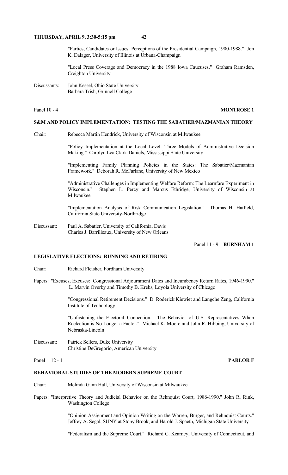"Parties, Candidates or Issues: Perceptions of the Presidential Campaign, 1900-1988." Jon K. Dalager, University of Illinois at Urbana-Champaign

 "Local Press Coverage and Democracy in the 1988 Iowa Caucuses." Graham Ramsden, Creighton University

Discussants: John Kessel, Ohio State University Barbara Trish, Grinnell College

# Panel 10 - 4 **MONTROSE 1**

#### **S&M AND POLICY IMPLEMENTATION: TESTING THE SABATIER/MAZMANIAN THEORY**

Chair: Rebecca Martin Hendrick, University of Wisconsin at Milwaukee

 "Policy Implementation at the Local Level: Three Models of Administrative Decision Making." Carolyn Lea Clark-Daniels, Mississippi State University

 "Implementing Family Planning Policies in the States: The Sabatier/Mazmanian Framework." Deborah R. McFarlane, University of New Mexico

 "Administrative Challenges in Implementing Welfare Reform: The Learnfare Experiment in Wisconsin." Stephen L. Percy and Marcus Ethridge, University of Wisconsin at Milwaukee

 "Implementation Analysis of Risk Communication Legislation." Thomas H. Hatfield, California State University-Northridge

Discussant: Paul A. Sabatier, University of California, Davis Charles J. Barrilleaux, University of New Orleans

Panel 11 - 9 **BURNHAM 1**

### **LEGISLATIVE ELECTIONS: RUNNING AND RETIRING**

- Chair: Richard Fleisher, Fordham University
- Papers: "Excuses, Excuses: Congressional Adjournment Dates and Incumbency Return Rates, 1946-1990." L. Marvin Overby and Timothy B. Krebs, Loyola University of Chicago

 "Congressional Retirement Decisions." D. Roderick Kiewiet and Langche Zeng, California Institute of Technology

 "Unfastening the Electoral Connection: The Behavior of U.S. Representatives When Reelection is No Longer a Factor." Michael K. Moore and John R. Hibbing, University of Nebraska-Lincoln

Discussant: Patrick Sellers, Duke University Christine DeGregorio, American University

#### Panel 12 - 1 **PARLOR F**

#### **BEHAVIORAL STUDIES OF THE MODERN SUPREME COURT**

- Chair: Melinda Gann Hall, University of Wisconsin at Milwaukee
- Papers: "Interpretive Theory and Judicial Behavior on the Rehnquist Court, 1986-1990." John R. Rink, Washington College

 "Opinion Assignment and Opinion Writing on the Warren, Burger, and Rehnquist Courts." Jeffrey A. Segal, SUNY at Stony Brook, and Harold J. Spaeth, Michigan State University

"Federalism and the Supreme Court." Richard C. Kearney, University of Connecticut, and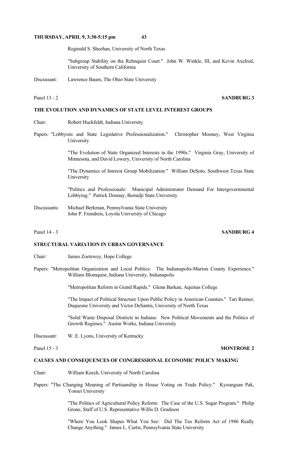Reginald S. Sheehan, University of North Texas

 "Subgroup Stability on the Rehnquist Court." John W. Winkle, III, and Kevin Axelrod, University of Southern California

Discussant: Lawrence Baum, The Ohio State University

# Panel 13 - 2 **SANDBURG 3**

# **THE EVOLUTION AND DYNAMICS OF STATE LEVEL INTEREST GROUPS**

- Chair: Robert Huckfeldt, Indiana University
- Papers: "Lobbyists and State Legislative Professionalization." Christopher Mooney, West Virginia University

 "The Evolution of State Organized Interests in the 1990s." Virginia Gray, University of Minnesota, and David Lowery, University of North Carolina

 "The Dynamics of Interest Group Mobilization." William DeSoto, Southwest Texas State University

 "Politics and Professionals: Municipal Administrator Demand For Intergovernmental Lobbying." Patrick Donnay, Bemidji State University

Discussants: Michael Berkman, Pennsylvania State University John P. Frendreis, Loyola University of Chicago

### Panel 14 - 3 **SANDBURG 4**

### **STRUCTURAL VARIATION IN URBAN GOVERNANCE**

- Chair: James Zoetewey, Hope College
- Papers: "Metropolitan Organization and Local Politics: The Indianapolis-Marion County Experience." William Blomquist, Indiana University, Indianapolis

"Metropolitan Reform in Grand Rapids." Glenn Barkan, Aquinas College

 "The Impact of Political Structure Upon Public Policy in American Counties." Tari Renner, Duquesne University and Victor DeSantis, University of North Texas

 "Solid Waste Disposal Districts in Indiana: New Political Movements and the Politics of Growth Regimes." Austin Works, Indiana University

Discussant: W. E. Lyons, University of Kentucky

#### **CAUSES AND CONSEQUENCES OF CONGRESSIONAL ECONOMIC POLICY MAKING**

- Chair: William Keech, University of North Carolina
- Papers: "The Changing Meaning of Partisanship in House Voting on Trade Policy." Kyoungsan Pak, Yonsei University

 "The Politics of Agricultural Policy Reform: The Case of the U.S. Sugar Program." Philip Grone, Staff of U.S. Representative Willis D. Gradison

 "Where You Look Shapes What You See: Did The Tax Reform Act of 1986 Really Change Anything." James L. Curtis, Pennsylvania State University

Panel 15 - 3 **MONTROSE 2**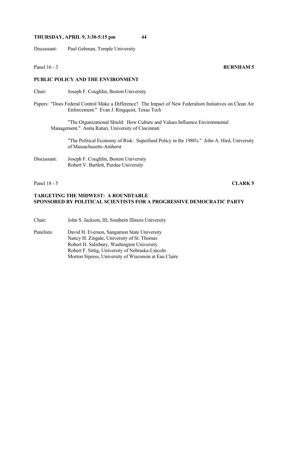Discussant: Paul Gehman, Temple University

### **PUBLIC POLICY AND THE ENVIRONMENT**

Chair: Joseph F. Coughlin, Boston University

Papers: "Does Federal Control Make a Difference? The Impact of New Federalism Initiatives on Clean Air Enforcement." Evan J. Ringquist, Texas Tech

 "The Organizational Shield: How Culture and Values Influence Environmental Management." Anita Raturi, University of Cincinnati

 "The Political Economy of Risk: Superfund Policy in the 1980's." John A. Hird, University of Massachusetts-Amherst

Discussant: Joseph F. Coughlin, Boston University Robert V. Bartlett, Purdue University

Panel 18 - 5 **CLARK 5**

# **TARGETING THE MIDWEST: A ROUNDTABLE SPONSORED BY POLITICAL SCIENTISTS FOR A PROGRESSIVE DEMOCRATIC PARTY**

Chair: John S. Jackson, III, Southern Illinois University

Panelists: David H. Everson, Sangamon State University Nancy H. Zingale, University of St. Thomas Robert H. Salisbury, Washington University Robert F. Sittig, University of Nebraska-Lincoln Morton Sipress, University of Wisconsin at Eau Claire

#### **Panel 16 - 3 BURNHAM 5**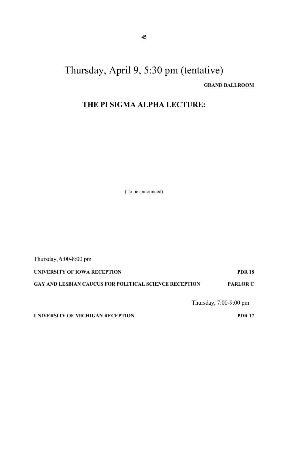# Thursday, April 9, 5:30 pm (tentative)  **GRAND BALLROOM**

# **THE PI SIGMA ALPHA LECTURE:**

(To be announced)

Thursday, 6:00-8:00 pm **UNIVERSITY OF IOWA RECEPTION PDR 18 GAY AND LESBIAN CAUCUS FOR POLITICAL SCIENCE RECEPTION PARLOR C**

Thursday, 7:00-9:00 pm

**UNIVERSITY OF MICHIGAN RECEPTION PDR 17**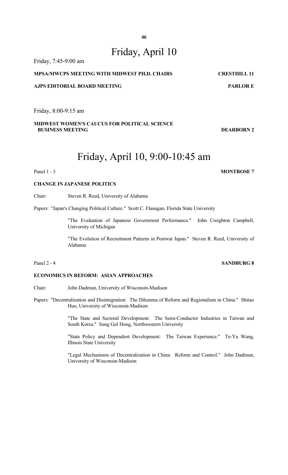# Friday, April 10

# Friday, 7:45-9:00 am **MPSA/MWCPS MEETING WITH MIDWEST PH.D. CHAIRS CRESTHILL 11 AJPS EDITORIAL BOARD MEETING PARLOR E PARLOR E**

Friday, 8:00-9:15 am

# **MIDWEST WOMEN'S CAUCUS FOR POLITICAL SCIENCE BUSINESS MEETING DEARBORN 2**

# Friday, April 10, 9:00-10:45 am

# Panel 1 - 3 **MONTROSE** 7

# **CHANGE IN JAPANESE POLITICS**

Chair: Steven R. Reed, University of Alabama

Papers: "Japan's Changing Political Culture." Scott C. Flanagan, Florida State University

 "The Evaluation of Japanese Government Performance." John Creighton Campbell, University of Michigan

 "The Evolution of Recruitment Patterns in Postwar Japan." Steven R. Reed, University of Alabama

# **ECONOMICS IN REFORM: ASIAN APPROACHES**

Chair: John Dadmun, University of Wisconsin-Madison

Papers: "Decentralization and Disintegration: The Dilemma of Reform and Regionalism in China." Shitao Huo, University of Wisconsin-Madison

> "The State and Sectoral Development: The Semi-Conductor Industries in Taiwan and South Korea." Sung Gul Hong, Northwestern University

> "State Policy and Dependent Development: The Taiwan Experience." Te-Yu Wang, Illinois State University

> "Legal Mechanisms of Decentralization in China: Reform and Control." John Dadmun, University of Wisconsin-Madison

# Panel 2 - 4 **SANDBURG 8**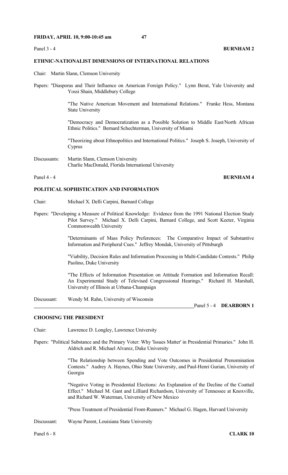### **ETHNIC-NATIONALIST DIMENSIONS OF INTERNATIONAL RELATIONS**

- Chair: Martin Slann, Clemson University
- Papers: "Diasporas and Their Influence on American Foreign Policy." Lynn Berat, Yale University and Yossi Shain, Middlebury College

 "The Native American Movement and International Relations." Franke Hess, Montana State University

 "Democracy and Democratization as a Possible Solution to Middle East/North African Ethnic Politics." Bernard Schechterman, University of Miami

 "Theorizing about Ethnopolitics and International Politics." Joseph S. Joseph, University of Cyprus

Discussants: Martin Slann, Clemson University Charlie MacDonald, Florida International University

#### Panel 4 - 4 **BURNHAM 4**

### **POLITICAL SOPHISTICATION AND INFORMATION**

- Chair: Michael X. Delli Carpini, Barnard College
- Papers: "Developing a Measure of Political Knowledge: Evidence from the 1991 National Election Study Pilot Survey." Michael X. Delli Carpini, Barnard College, and Scott Keeter, Virginia Commonwealth University

 "Determinants of Mass Policy Preferences: The Comparative Impact of Substantive Information and Peripheral Cues." Jeffrey Mondak, University of Pittsburgh

 "Viability, Decision Rules and Information Processing in Multi-Candidate Contests." Philip Paolino, Duke University

 "The Effects of Information Presentation on Attitude Formation and Information Recall: An Experimental Study of Televised Congressional Hearings." Richard H. Marshall, University of Illinois at Urbana-Champaign

Discussant: Wendy M. Rahn, University of Wisconsin

Panel 5 - 4 **DEARBORN 1**

# **CHOOSING THE PRESIDENT**

Chair: Lawrence D. Longley, Lawrence University

Papers: "Political Substance and the Primary Voter: Why 'Issues Matter' in Presidential Primaries." John H. Aldrich and R. Michael Alvarez, Duke University

> "The Relationship between Spending and Vote Outcomes in Presidential Prenomination Contests." Audrey A. Haynes, Ohio State University, and Paul-Henri Gurian, University of Georgia

> "Negative Voting in Presidential Elections: An Explanation of the Decline of the Coattail Effect." Michael M. Gant and Lilliard Richardson, University of Tennessee at Knoxville, and Richard W. Waterman, University of New Mexico

"Press Treatment of Presidential Front-Runners." Michael G. Hagen, Harvard University

Discussant: Wayne Parent, Louisiana State University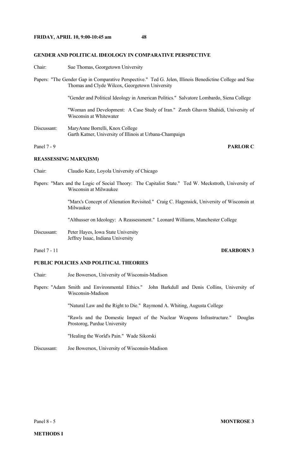#### **GENDER AND POLITICAL IDEOLOGY IN COMPARATIVE PERSPECTIVE**

- Chair: Sue Thomas, Georgetown University
- Papers: "The Gender Gap in Comparative Perspective." Ted G. Jelen, Illinois Benedictine College and Sue Thomas and Clyde Wilcox, Georgetown University

"Gender and Political Ideology in American Politics." Salvatore Lombardo, Siena College

 "Woman and Development: A Case Study of Iran." Zoreh Ghavm Shahidi, University of Wisconsin at Whitewater

Discussant: MaryAnne Borrelli, Knox College Garth Katner, University of Illinois at Urbana-Champaign

Panel 7 - 9 **PARLOR C** 

### **REASSESSING MARX(ISM)**

- Chair: Claudio Katz, Loyola University of Chicago
- Papers: "Marx and the Logic of Social Theory: The Capitalist State." Ted W. Meckstroth, University of Wisconsin at Milwaukee

 "Marx's Concept of Alienation Revisited." Craig C. Hagensick, University of Wisconsin at Milwaukee

"Althusser on Ideology: A Reassessment." Leonard Williams, Manchester College

Discussant: Peter Hayes, Iowa State University Jeffrey Isaac, Indiana University

# Panel 7 - 11 **DEARBORN 3**

### **PUBLIC POLICIES AND POLITICAL THEORIES**

- Chair: Joe Bowersox, University of Wisconsin-Madison
- Papers: "Adam Smith and Environmental Ethics." John Barkdull and Denis Collins, University of Wisconsin-Madison

"Natural Law and the Right to Die." Raymond A. Whiting, Augusta College

 "Rawls and the Domestic Impact of the Nuclear Weapons Infrastructure." Douglas Prostorog, Purdue University

"Healing the World's Pain." Wade Sikorski

Discussant: Joe Bowersox, University of Wisconsin-Madison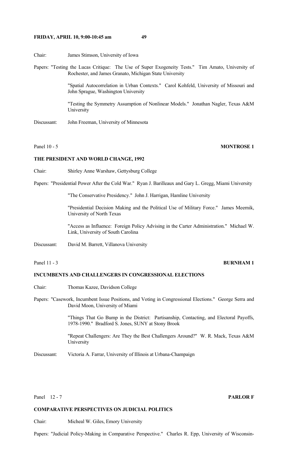# **FRIDAY, APRIL 10, 9:00-10:45 am 49**

Chair: James Stimson, University of Iowa

Papers: "Testing the Lucas Critique: The Use of Super Exogeneity Tests." Tim Amato, University of Rochester, and James Granato, Michigan State University

> "Spatial Autocorrelation in Urban Contexts." Carol Kohfeld, University of Missouri and John Sprague, Washington University

> "Testing the Symmetry Assumption of Nonlinear Models." Jonathan Nagler, Texas A&M University

Discussant: John Freeman, University of Minnesota

# Panel 10 - 5 **MONTROSE 1**

### **THE PRESIDENT AND WORLD CHANGE, 1992**

Chair: Shirley Anne Warshaw, Gettysburg College

Papers: "Presidential Power After the Cold War." Ryan J. Barilleaux and Gary L. Gregg, Miami University

"The Conservative Presidency." John J. Harrigan, Hamline University

 "Presidential Decision Making and the Political Use of Military Force." James Meernik, University of North Texas

 "Access as Influence: Foreign Policy Advising in the Carter Administration." Michael W. Link, University of South Carolina

Discussant: David M. Barrett, Villanova University

# Panel 11 - 3 **BURNHAM 1**

# **INCUMBENTS AND CHALLENGERS IN CONGRESSIONAL ELECTIONS**

- Chair: Thomas Kazee, Davidson College
- Papers: "Casework, Incumbent Issue Positions, and Voting in Congressional Elections." George Serra and David Moon, University of Miami

 "Things That Go Bump in the District: Partisanship, Contacting, and Electoral Payoffs, 1978-1990." Bradford S. Jones, SUNY at Stony Brook

 "Repeat Challengers: Are They the Best Challengers Around?" W. R. Mack, Texas A&M University

Discussant: Victoria A. Farrar, University of Illinois at Urbana-Champaign

Panel 12 - 7 **PARLOR F** 

# **COMPARATIVE PERSPECTIVES ON JUDICIAL POLITICS**

Chair: Micheal W. Giles, Emory University

Papers: "Judicial Policy-Making in Comparative Perspective." Charles R. Epp, University of Wisconsin-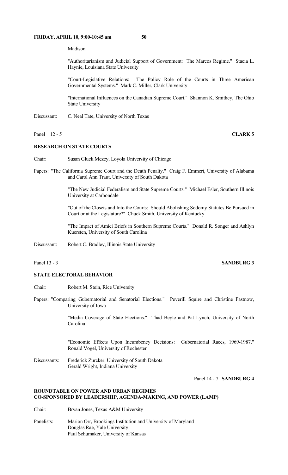### **FRIDAY, APRIL 10, 9:00-10:45 am 50**

Madison

 "Authoritarianism and Judicial Support of Government: The Marcos Regime." Stacia L. Haynie, Louisiana State University

 "Court-Legislative Relations: The Policy Role of the Courts in Three American Governmental Systems." Mark C. Miller, Clark University

 "International Influences on the Canadian Supreme Court." Shannon K. Smithey, The Ohio State University

Discussant: C. Neal Tate, University of North Texas

#### **Panel 12 - 5 CLARK 5**

### **RESEARCH ON STATE COURTS**

- Chair: Susan Gluck Mezey, Loyola University of Chicago
- Papers: "The California Supreme Court and the Death Penalty." Craig F. Emmert, University of Alabama and Carol Ann Traut, University of South Dakota

 "The New Judicial Federalism and State Supreme Courts." Michael Esler, Southern Illinois University at Carbondale

 "Out of the Closets and Into the Courts: Should Abolishing Sodomy Statutes Be Pursued in Court or at the Legislature?" Chuck Smith, University of Kentucky

 "The Impact of Amici Briefs in Southern Supreme Courts." Donald R. Songer and Ashlyn Kuersten, University of South Carolina

Discussant: Robert C. Bradley, Illinois State University

### Panel 13 - 3 **SANDBURG 3**

#### **STATE ELECTORAL BEHAVIOR**

- Chair: Robert M. Stein, Rice University
- Papers: "Comparing Gubernatorial and Senatorial Elections." Peverill Squire and Christine Fastnow, University of Iowa

 "Media Coverage of State Elections." Thad Beyle and Pat Lynch, University of North Carolina

 "Economic Effects Upon Incumbency Decisions: Gubernatorial Races, 1969-1987." Ronald Vogel, University of Rochester

Discussants: Frederick Zurcker, University of South Dakota Gerald Wright, Indiana University

Panel 14 - 7 **SANDBURG 4**

# **ROUNDTABLE ON POWER AND URBAN REGIMES CO-SPONSORED BY LEADERSHIP, AGENDA-MAKING, AND POWER (LAMP)**

Chair: Bryan Jones, Texas A&M University

Panelists: Marion Orr, Brookings Institution and University of Maryland Douglas Rae, Yale University Paul Schumaker, University of Kansas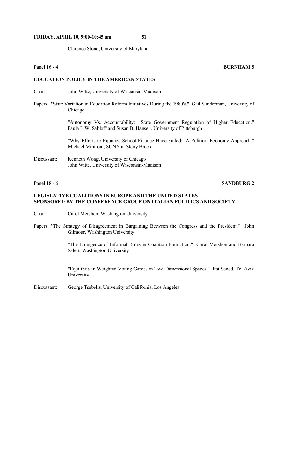# **FRIDAY, APRIL 10, 9:00-10:45 am 51**

Clarence Stone, University of Maryland

**Panel 16 - 4 BURNHAM 5** 

# **EDUCATION POLICY IN THE AMERICAN STATES**

- Chair: John Witte, University of Wisconsin-Madison
- Papers: "State Variation in Education Reform Initiatives During the 1980's." Gail Sunderman, University of Chicago

 "Autonomy Vs. Accountability: State Government Regulation of Higher Education." Paula L.W. Sabloff and Susan B. Hansen, University of Pittsburgh

 "Why Efforts to Equalize School Finance Have Failed: A Political Economy Approach." Michael Mintrom, SUNY at Stony Brook

Discussant: Kenneth Wong, University of Chicago John Witte, University of Wisconsin-Madison

# Panel 18 - 6 **SANDBURG 2**

# **LEGISLATIVE COALITIONS IN EUROPE AND THE UNITED STATES SPONSORED BY THE CONFERENCE GROUP ON ITALIAN POLITICS AND SOCIETY**

- Chair: Carol Mershon, Washington University
- Papers: "The Strategy of Disagreement in Bargaining Between the Congress and the President." John Gilmour, Washington University

 "The Emergence of Informal Rules in Coalition Formation." Carol Mershon and Barbara Salert, Washington University

 "Equilibria in Weighted Voting Games in Two Dimensional Spaces." Itai Sened, Tel Aviv University

Discussant: George Tsebelis, University of California, Los Angeles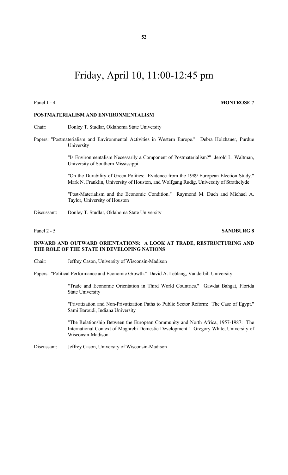# Friday, April 10, 11:00-12:45 pm

#### Panel 1 - 4 **MONTROSE** 7

# **POSTMATERIALISM AND ENVIRONMENTALISM**

Chair: Donley T. Studlar, Oklahoma State University

Papers: "Postmaterialism and Environmental Activities in Western Europe." Debra Holzhauer, Purdue University

> "Is Environmentalism Necessarily a Component of Postmaterialism?" Jerold L. Waltman, University of Southern Mississippi

> "On the Durability of Green Politics: Evidence from the 1989 European Election Study." Mark N. Franklin, University of Houston, and Wolfgang Rudig, University of Strathclyde

> "Post-Materialism and the Economic Condition." Raymond M. Duch and Michael A. Taylor, University of Houston

Discussant: Donley T. Studlar, Oklahoma State University

### Panel 2 - 5 **SANDBURG 8**

# **INWARD AND OUTWARD ORIENTATIONS: A LOOK AT TRADE, RESTRUCTURING AND THE ROLE OF THE STATE IN DEVELOPING NATIONS**

Chair: Jeffrey Cason, University of Wisconsin-Madison

Papers: "Political Performance and Economic Growth." David A. Leblang, Vanderbilt University

 "Trade and Economic Orientation in Third World Countries." Gawdat Bahgat, Florida State University

 "Privatization and Non-Privatization Paths to Public Sector Reform: The Case of Egypt." Sami Baroudi, Indiana University

 "The Relationship Between the European Community and North Africa, 1957-1987: The International Context of Maghrebi Domestic Development." Gregory White, University of Wisconsin-Madison

Discussant: Jeffrey Cason, University of Wisconsin-Madison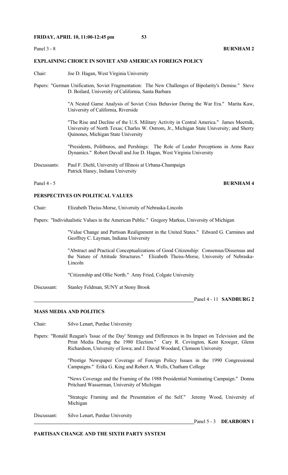#### **Panel 3 - 8 <b>BURNHAM 2**

# **EXPLAINING CHOICE IN SOVIET AND AMERICAN FOREIGN POLICY**

- Chair: Joe D. Hagan, West Virginia University
- Papers: "German Unification, Soviet Fragmentation: The New Challenges of Bipolarity's Demise." Steve D. Boilard, University of California, Santa Barbara

 "A Nested Game Analysis of Soviet Crisis Behavior During the War Era." Marita Kaw, University of California, Riverside

 "The Rise and Decline of the U.S. Military Activity in Central America." James Meernik, University of North Texas; Charles W. Ostrom, Jr., Michigan State University; and Sherry Quinones, Michigan State University

 "Presidents, Politburos, and Pershings: The Role of Leader Perceptions in Arms Race Dynamics." Robert Duvall and Joe D. Hagan, West Virginia University

Discussants: Paul F. Diehl, University of Illinois at Urbana-Champaign Patrick Haney, Indiana University

# Panel 4 - 5 **BURNHAM 4**

# **PERSPECTIVES ON POLITICAL VALUES**

Chair: Elizabeth Theiss-Morse, University of Nebraska-Lincoln

Papers: "Individualistic Values in the American Public." Gregory Markus, University of Michigan

 "Value Change and Partisan Realignment in the United States." Edward G. Carmines and Geoffrey C. Layman, Indiana University

 "Abstract and Practical Conceptualizations of Good Citizenship: Consensus/Dissensus and the Nature of Attitude Structures." Elizabeth Theiss-Morse, University of Nebraska-Lincoln

"Citizenship and Ollie North." Amy Fried, Colgate University

Discussant: Stanley Feldman, SUNY at Stony Brook

Panel 4 - 11 **SANDBURG 2**

# **MASS MEDIA AND POLITICS**

Chair: Silvo Lenart, Purdue University

Papers: "Ronald Reagan's 'Issue of the Day' Strategy and Differences in Its Impact on Television and the Print Media During the 1980 Election." Cary R. Covington, Kent Kroeger, Glenn Richardson, University of Iowa; and J. David Woodard, Clemson University

> "Prestige Newspaper Coverage of Foreign Policy Issues in the 1990 Congressional Campaigns." Erika G. King and Robert A. Wells, Chatham College

> "News Coverage and the Framing of the 1988 Presidential Nominating Campaign." Donna Pritchard Wasserman, University of Michigan

> "Strategic Framing and the Presentation of the Self." Jeremy Wood, University of Michigan

Discussant: Silvo Lenart, Purdue University

Panel 5 - 3 **DEARBORN 1**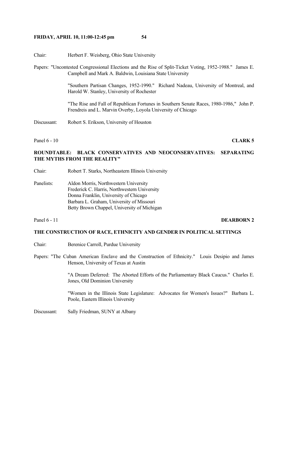- Chair: Herbert F. Weisberg, Ohio State University
- Papers: "Uncontested Congressional Elections and the Rise of Split-Ticket Voting, 1952-1988." James E. Campbell and Mark A. Baldwin, Louisiana State University

 "Southern Partisan Changes, 1952-1990." Richard Nadeau, University of Montreal, and Harold W. Stanley, University of Rochester

 "The Rise and Fall of Republican Fortunes in Southern Senate Races, 1980-1986," John P. Frendreis and L. Marvin Overby, Loyola University of Chicago

Discussant: Robert S. Erikson, University of Houston

Panel 6 - 10 **CLARK 5** 

# **ROUNDTABLE: BLACK CONSERVATIVES AND NEOCONSERVATIVES: SEPARATING THE MYTHS FROM THE REALITY"**

- Chair: Robert T. Starks, Northeastern Illinois University
- Panelists: Aldon Morris, Northwestern University Frederick C. Harris, Northwestern University Donna Franklin, University of Chicago Barbara L. Graham, University of Missouri Betty Brown Chappel, University of Michigan

### Panel 6 - 11 **DEARBORN 2**

### **THE CONSTRUCTION OF RACE, ETHNICITY AND GENDER IN POLITICAL SETTINGS**

- Chair: Berenice Carroll, Purdue University
- Papers: "The Cuban American Enclave and the Construction of Ethnicity." Louis Desipio and James Henson, University of Texas at Austin

 "A Dream Deferred: The Aborted Efforts of the Parliamentary Black Caucus." Charles E. Jones, Old Dominion University

 "Women in the Illinois State Legislature: Advocates for Women's Issues?" Barbara L. Poole, Eastern Illinois University

Discussant: Sally Friedman, SUNY at Albany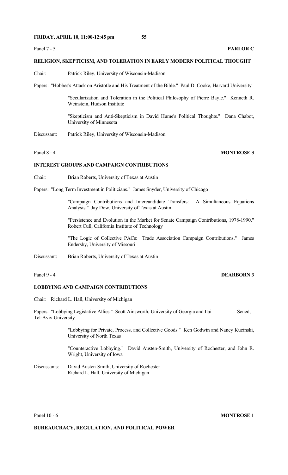# **RELIGION, SKEPTICISM, AND TOLERATION IN EARLY MODERN POLITICAL THOUGHT**

- Chair: Patrick Riley, University of Wisconsin-Madison
- Papers: "Hobbes's Attack on Aristotle and His Treatment of the Bible." Paul D. Cooke, Harvard University

 "Secularization and Toleration in the Political Philosophy of Pierre Bayle." Kenneth R. Weinstein, Hudson Institute

 "Skepticism and Anti-Skepticism in David Hume's Political Thoughts." Dana Chabot, University of Minnesota

Discussant: Patrick Riley, University of Wisconsin-Madison

# Panel 8 - 4 **MONTROSE 3**

# **INTEREST GROUPS AND CAMPAIGN CONTRIBUTIONS**

Chair: Brian Roberts, University of Texas at Austin

Papers: "Long Term Investment in Politicians." James Snyder, University of Chicago

 "Campaign Contributions and Intercandidate Transfers: A Simultaneous Equations Analysis." Jay Dow, University of Texas at Austin

 "Persistence and Evolution in the Market for Senate Campaign Contributions, 1978-1990." Robert Cull, California Institute of Technology

 "The Logic of Collective PACs: Trade Association Campaign Contributions." James Endersby, University of Missouri

Discussant: Brian Roberts, University of Texas at Austin

# Panel 9 - 4 **DEARBORN 3**

# **LOBBYING AND CAMPAIGN CONTRIBUTIONS**

Chair: Richard L. Hall, University of Michigan

Papers: "Lobbying Legislative Allies." Scott Ainsworth, University of Georgia and Itai Sened, Tel-Aviv University

> "Lobbying for Private, Process, and Collective Goods." Ken Godwin and Nancy Kucinski, University of North Texas

> "Counteractive Lobbying." David Austen-Smith, University of Rochester, and John R. Wright, University of Iowa

Discussants: David Austen-Smith, University of Rochester Richard L. Hall, University of Michigan

#### Panel 10 - 6 **MONTROSE 1**

# **BUREAUCRACY, REGULATION, AND POLITICAL POWER**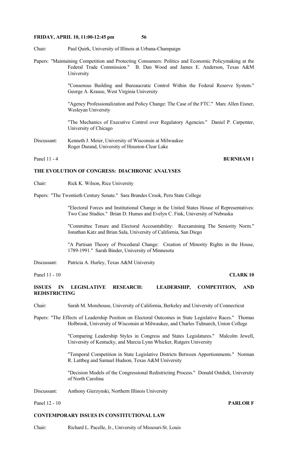Chair: Paul Quirk, University of Illinois at Urbana-Champaign

Papers: "Maintaining Competition and Protecting Consumers: Politics and Economic Policymaking at the Federal Trade Commission." B. Dan Wood and James E. Anderson, Texas A&M University

> "Consensus Building and Bureaucratic Control Within the Federal Reserve System." George A. Krause, West Virginia University

> "Agency Professionalization and Policy Change: The Case of the FTC." Marc Allen Eisner, Wesleyan University

> "The Mechanics of Executive Control over Regulatory Agencies." Daniel P. Carpenter, University of Chicago

Discussant: Kenneth J. Meier, University of Wisconsin at Milwaukee Roger Durand, University of Houston-Clear Lake

# Panel 11 - 4 **BURNHAM 1**

### **THE EVOLUTION OF CONGRESS: DIACHRONIC ANALYSES**

Chair: Rick K. Wilson, Rice University

Papers: "The Twentieth Century Senate." Sara Brandes Crook, Peru State College

 "Electoral Forces and Institutional Change in the United States House of Representatives: Two Case Studies." Brian D. Humes and Evelyn C. Fink, University of Nebraska

 "Committee Tenure and Electoral Accountability: Reexamining The Seniority Norm." Jonathan Katz and Brian Sala, University of California, San Diego

 "A Partisan Theory of Procedural Change: Creation of Minority Rights in the House, 1789-1991." Sarah Binder, University of Minnesota

Discussant: Patricia A. Hurley, Texas A&M University

#### Panel 11 - 10 **CLARK 10**

**ISSUES IN LEGISLATIVE RESEARCH: LEADERSHIP, COMPETITION, AND REDISTRICTING**

- Chair: Sarah M. Morehouse, University of California, Berkeley and University of Connecticut
- Papers: "The Effects of Leadership Position on Electoral Outcomes in State Legislative Races." Thomas Holbrook, University of Wisconsin at Milwaukee, and Charles Tidmarch, Union College

 "Comparing Leadership Styles in Congress and States Legislatures." Malcolm Jewell, University of Kentucky, and Marcia Lynn Whicker, Rutgers University

 "Temporal Competition in State Legislative Districts Between Apportionments." Norman R. Luttbeg and Samuel Hudson, Texas A&M University

 "Decision Models of the Congressional Redistricting Process." Donald Ostdiek, University of North Carolina

Discussant: Anthony Gierzynski, Northern Illinois University

Panel 12 - 10 **PARLOR F** 

#### **CONTEMPORARY ISSUES IN CONSTITUTIONAL LAW**

Chair: Richard L. Pacelle, Jr., University of Missouri-St. Louis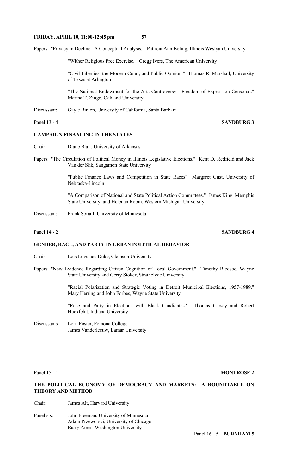Papers: "Privacy in Decline: A Conceptual Analysis." Patricia Ann Boling, Illinois Weslyan University

"Wither Religious Free Exercise." Gregg Ivers, The American University

 "Civil Liberties, the Modern Court, and Public Opinion." Thomas R. Marshall, University of Texas at Arlington

 "The National Endowment for the Arts Controversy: Freedom of Expression Censored." Martha T. Zingo, Oakland University

Discussant: Gayle Binion, University of California, Santa Barbara

Panel 13 - 4 **SANDBURG 3** 

## **CAMPAIGN FINANCING IN THE STATES**

- Chair: Diane Blair, University of Arkansas
- Papers: "The Circulation of Political Money in Illinois Legislative Elections." Kent D. Redfield and Jack Van der Slik, Sangamon State University

 "Public Finance Laws and Competition in State Races" Margaret Gust, University of Nebraska-Lincoln

 "A Comparison of National and State Political Action Committees." James King, Memphis State University, and Helenan Robin, Western Michigan University

Discussant: Frank Sorauf, University of Minnesota

# **GENDER, RACE, AND PARTY IN URBAN POLITICAL BEHAVIOR**

- Chair: Lois Lovelace Duke, Clemson University
- Papers: "New Evidence Regarding Citizen Cognition of Local Government." Timothy Bledsoe, Wayne State University and Gerry Stoker, Strathclyde University

 "Racial Polarization and Strategic Voting in Detroit Municipal Elections, 1957-1989." Mary Herring and John Forbes, Wayne State University

 "Race and Party in Elections with Black Candidates." Thomas Carsey and Robert Huckfeldt, Indiana University

Discussants: Lorn Foster, Pomona College James Vanderleeuw, Lamar University

Panel 15 - 1 **MONTROSE 2** 

## **THE POLITICAL ECONOMY OF DEMOCRACY AND MARKETS: A ROUNDTABLE ON THEORY AND METHOD**

Chair: James Alt, Harvard University

Panelists: John Freeman, University of Minnesota Adam Przeworski, University of Chicago Barry Ames, Washington University

Panel 16 - 5 **BURNHAM 5** 

# Panel 14 - 2 **SANDBURG 4**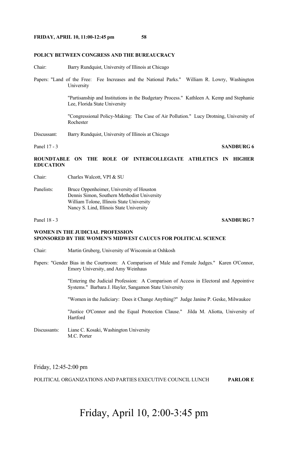### **POLICY BETWEEN CONGRESS AND THE BUREAUCRACY**

Chair: Barry Rundquist, University of Illinois at Chicago

Papers: "Land of the Free: Fee Increases and the National Parks." William R. Lowry, Washington University

> "Partisanship and Institutions in the Budgetary Process." Kathleen A. Kemp and Stephanie Lee, Florida State University

> "Congressional Policy-Making: The Case of Air Pollution." Lucy Drotning, University of Rochester

Discussant: Barry Rundquist, University of Illinois at Chicago

### Panel 17 - 3 **SANDBURG 6**

**ROUNDTABLE ON THE ROLE OF INTERCOLLEGIATE ATHLETICS IN HIGHER EDUCATION** 

Chair: Charles Walcott, VPI & SU

Panelists: Bruce Oppenheimer, University of Houston Dennis Simon, Southern Methodist University William Tolone, Illinois State University Nancy S. Lind, Illinois State University

### **Panel 18 - 3 SANDBURG 7**

### **WOMEN IN THE JUDICIAL PROFESSION SPONSORED BY THE WOMEN'S MIDWEST CAUCUS FOR POLITICAL SCIENCE**

Chair: Martin Gruberg, University of Wisconsin at Oshkosh

Papers: "Gender Bias in the Courtroom: A Comparison of Male and Female Judges." Karen O'Connor, Emory University, and Amy Weinhaus

> "Entering the Judicial Profession: A Comparison of Access in Electoral and Appointive Systems." Barbara J. Hayler, Sangamon State University

"Women in the Judiciary: Does it Change Anything?" Judge Janine P. Geske, Milwaukee

 "Justice O'Connor and the Equal Protection Clause." Jilda M. Aliotta, University of Hartford

Discussants: Liane C. Kosaki, Washington University M.C. Porter

Friday, 12:45-2:00 pm

POLITICAL ORGANIZATIONS AND PARTIES EXECUTIVE COUNCIL LUNCH **PARLOR E**

# Friday, April 10, 2:00-3:45 pm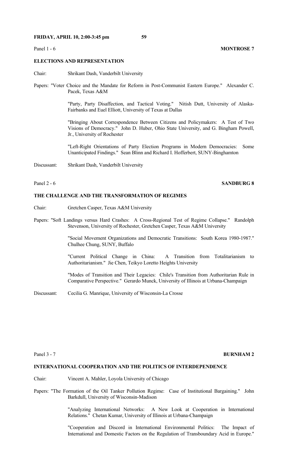### **ELECTIONS AND REPRESENTATION**

- Chair: Shrikant Dash, Vanderbilt University
- Papers: "Voter Choice and the Mandate for Reform in Post-Communist Eastern Europe." Alexander C. Pacek, Texas A&M

 "Party, Party Disaffection, and Tactical Voting." Nitish Dutt, University of Alaska-Fairbanks and Euel Elliott, University of Texas at Dallas

 "Bringing About Correspondence Between Citizens and Policymakers: A Test of Two Visions of Democracy." John D. Huber, Ohio State University, and G. Bingham Powell, Jr., University of Rochester

 "Left-Right Orientations of Party Election Programs in Modern Democracies: Some Unanticipated Findings." Sean Blinn and Richard I. Hofferbert, SUNY-Binghamton

Discussant: Shrikant Dash, Vanderbilt University

### Panel 2 - 6**SANDBURG 8**

### **THE CHALLENGE AND THE TRANSFORMATION OF REGIMES**

- Chair: Gretchen Casper, Texas A&M University
- Papers: "Soft Landings versus Hard Crashes: A Cross-Regional Test of Regime Collapse." Randolph Stevenson, University of Rochester, Gretchen Casper, Texas A&M University

 "Social Movement Organizations and Democratic Transitions: South Korea 1980-1987." Chulhee Chung, SUNY, Buffalo

 "Current Political Change in China: A Transition from Totalitarianism to Authoritarianism." Jie Chen, Teikyo Loretto Heights University

 "Modes of Transition and Their Legacies: Chile's Transition from Authoritarian Rule in Comparative Perspective." Gerardo Munck, University of Illinois at Urbana-Champaign

Discussant: Cecilia G. Manrique, University of Wisconsin-La Crosse

#### **Panel 3 - 7 <b>BURNHAM 2**

# **INTERNATIONAL COOPERATION AND THE POLITICS OF INTERDEPENDENCE**

- Chair: Vincent A. Mahler, Loyola University of Chicago
- Papers: "The Formation of the Oil Tanker Pollution Regime: Case of Institutional Bargaining." John Barkdull, University of Wisconsin-Madison

 "Analyzing International Networks: A New Look at Cooperation in International Relations." Chetan Kumar, University of Illinois at Urbana-Champaign

 "Cooperation and Discord in International Environmental Politics: The Impact of International and Domestic Factors on the Regulation of Transboundary Acid in Europe."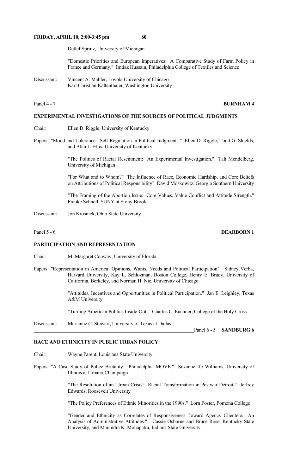Detlef Sprinz, University of Michigan

 "Domestic Priorities and European Imperatives: A Comparative Study of Farm Policy in France and Germany." Imtiaz Hussain, Philadelphia College of Textiles and Science

Discussant: Vincent A. Mahler, Loyola University of Chicago Karl Christian Kaltenthaler, Washington University

#### Panel 4 - 7 **BURNHAM 4**

# **EXPERIMENTAL INVESTIGATIONS OF THE SOURCES OF POLITICAL JUDGMENTS**

- Chair: Ellen D. Riggle, University of Kentucky
- Papers: "Mood and Tolerance: Self-Regulation in Political Judgments." Ellen D. Riggle, Todd G. Shields, and Alan L. Ellis, University of Kentucky

 "The Politics of Racial Resentment: An Experimental Investigation." Tali Mendelberg, University of Michigan

 "For What and to Whom?" The Influence of Race, Economic Hardship, and Core Beliefs on Attributions of Political Responsibility" David Moskowitz, Georgia Southern University

 "The Framing of the Abortion Issue: Core Values, Value Conflict and Attitude Strength." Frauke Schnell, SUNY at Stony Brook

Discussant: Jon Krosnick, Ohio State University

Panel 5 - 6*Dearborn 1* DEARBORN 1

## **PARTICIPATION AND REPRESENTATION**

- Chair: M. Margaret Conway, University of Florida
- Papers: "Representation in America: Opinions, Wants, Needs and Political Participation". Sidney Verba, Harvard University, Kay L. Schlozman, Boston College, Henry E. Brady, University of California, Berkeley, and Norman H. Nie, University of Chicago

 "Attitudes, Incentives and Opportunities in Political Participation." Jan E. Leighley, Texas A&M University

"Turning American Politics Inside-Out." Charles C. Euchner, College of the Holy Cross

Discussant: Marianne C. Stewart, University of Texas at Dallas

#### **RACE AND ETHNICITY IN PUBLIC URBAN POLICY**

- Chair: Wayne Parent, Louisiana State University
- Papers: "A Case Study of Police Brutality: Philadelphia MOVE." Suzanne Ife Williams, University of Illinois at Urbana-Champaign

 "The Resolution of an 'Urban Crisis': Racial Transformation in Postwar Detroit." Jeffrey Edwards, Roosevelt University

"The Policy Preferences of Ethnic Minorities in the 1990s." Lorn Foster, Pomona College

 "Gender and Ethnicity as Correlates of Responsiveness Toward Agency Clientele: An Analysis of Administrative Attitudes." Cassie Osborne and Bruce Rose, Kentucky State University, and Manindra K. Mohapatra, Indiana State University

Panel 6 - 5 **SANDBURG 6**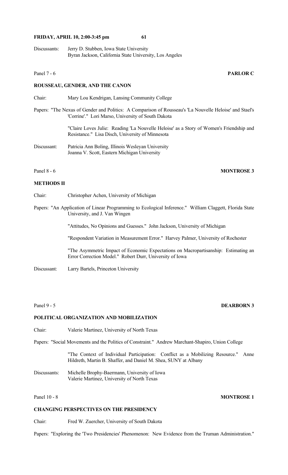Discussants: Jerry D. Stubben, Iowa State University Byran Jackson, California State University, Los Angeles

#### Panel 7 - 6 **PARLOR C**

#### **ROUSSEAU, GENDER, AND THE CANON**

- Chair: Mary Lou Kendrigan, Lansing Community College
- Papers: "The Nexus of Gender and Politics: A Comparison of Rousseau's 'La Nouvelle Heloise' and Stael's 'Corrine'." Lori Marso, University of South Dakota

 "Claire Loves Julie: Reading 'La Nouvelle Heloise' as a Story of Women's Friendship and Resistance." Lisa Disch, University of Minnesota

Discussant: Patricia Ann Boling, Illinois Wesleyan University Joanna V. Scott, Eastern Michigan University

#### Panel 8 - 6 **MONTROSE 3**

# **METHODS II**

- Chair: Christopher Achen, University of Michigan
- Papers: "An Application of Linear Programming to Ecological Inference." William Claggett, Florida State University, and J. Van Wingen

"Attitudes, No Opinions and Guesses." John Jackson, University of Michigan

"Respondent Variation in Measurement Error." Harvey Palmer, University of Rochester

 "The Asymmetric Impact of Economic Expectations on Macropartisanship: Estimating an Error Correction Model." Robert Durr, University of Iowa

Discussant: Larry Bartels, Princeton University

# **POLITICAL ORGANIZATION AND MOBILIZATION**

Chair: Valerie Martinez, University of North Texas

Papers: "Social Movements and the Politics of Constraint." Andrew Marchant-Shapiro, Union College

 "The Context of Individual Participation: Conflict as a Mobilizing Resource." Anne Hildreth, Martin B. Shaffer, and Daniel M. Shea, SUNY at Albany

Discussants: Michelle Brophy-Baermann, University of Iowa Valerie Martinez, University of North Texas

Panel 10 - 8 **MONTROSE 1** 

# **CHANGING PERSPECTIVES ON THE PRESIDENCY**

Chair: Fred W. Zuercher, University of South Dakota

Papers: "Exploring the 'Two Presidencies' Phenomenon: New Evidence from the Truman Administration."

# Panel 9 - 5 **DEARBORN 3**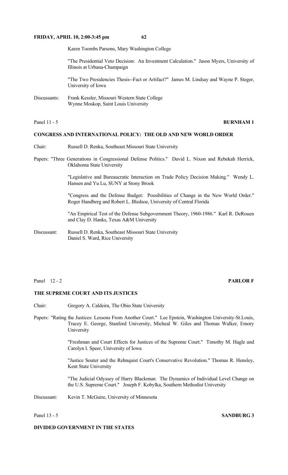Karen Toombs Parsons, Mary Washington College

 "The Presidential Veto Decision: An Investment Calculation." Jason Myers, University of Illinois at Urbana-Champaign

 "The Two Presidencies Thesis--Fact or Artifact?" James M. Lindsay and Wayne P. Steger, University of Iowa

Discussants: Frank Kessler, Missouri Western State College Wynne Moskop, Saint Louis University

| Panel 1 |
|---------|
|---------|

# **BURNHAM 1**

## **CONGRESS AND INTERNATIONAL POLICY: THE OLD AND NEW WORLD ORDER**

- Chair: Russell D. Renka, Southeast Missouri State University
- Papers: "Three Generations in Congressional Defense Politics." David L. Nixon and Rebekah Herrick, Oklahoma State University

 "Legislative and Bureaucratic Interaction on Trade Policy Decision Making." Wendy L. Hansen and Yu Lu, SUNY at Stony Brook

 "Congress and the Defense Budget: Possibilities of Change in the New World Order." Roger Handberg and Robert L. Bledsoe, University of Central Florida

 "An Empirical Test of the Defense Subgovernment Theory, 1960-1986." Karl R. DeRouen and Clay D. Hanks, Texas A&M University

Discussant: Russell D. Renka, Southeast Missouri State University Daniel S. Ward, Rice University

#### Panel 12 - 2 **PARLOR F**

### **THE SUPREME COURT AND ITS JUSTICES**

- Chair: Gregory A. Caldeira, The Ohio State University
- Papers: "Rating the Justices: Lessons From Another Court." Lee Epstein, Washington University-St.Louis, Tracey E. George, Stanford University, Micheal W. Giles and Thomas Walker, Emory University

 "Freshman and Court Effects for Justices of the Supreme Court." Timothy M. Hagle and Carolyn I. Speer, University of Iowa

 "Justice Souter and the Rehnquist Court's Conservative Revolution." Thomas R. Hensley, Kent State University

 "The Judicial Odyssey of Harry Blackmun: The Dynamics of Individual Level Change on the U.S. Supreme Court." Joseph F. Kobylka, Southern Methodist University

Discussant: Kevin T. McGuire, University of Minnesota

### Panel 13 - 5 **SANDBURG 3**

# **DIVIDED GOVERNMENT IN THE STATES**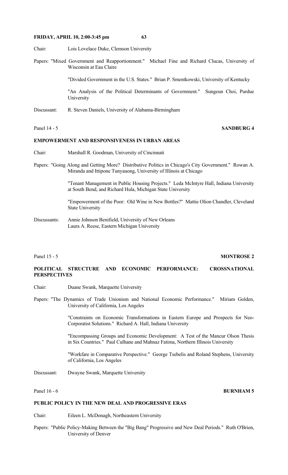Chair: Lois Lovelace Duke, Clemson University

Papers: "Mixed Government and Reapportionment." Michael Fine and Richard Clucas, University of Wisconsin at Eau Claire

"Divided Government in the U.S. States." Brian P. Smentkowski, University of Kentucky

 "An Analysis of the Political Determinants of Government." Sungeun Choi, Purdue University

- Discussant: R. Steven Daniels, University of Alabama-Birmingham
- 

### Panel 14 - 5 **SANDBURG 4**

# **EMPOWERMENT AND RESPONSIVENESS IN URBAN AREAS**

- Chair: Marshall R. Goodman, University of Cincinnati
- Papers: "Going Along and Getting More? Distributive Politics in Chicago's City Government." Rowan A. Miranda and Ittipone Tunyauong, University of Illinois at Chicago

 "Tenant Management in Public Housing Projects." Leda McIntyre Hall, Indiana University at South Bend, and Richard Hula, Michigan State University

 "Empowerment of the Poor: Old Wine in New Bottles?" Mattie Olion Chandler, Cleveland State University

Discussants: Annie Johnson Benifield, University of New Orleans Laura A. Reese, Eastern Michigan University

### **Panel 15 - 5 MONTROSE 2**

# **POLITICAL STRUCTURE AND ECONOMIC PERFORMANCE: CROSSNATIONAL PERSPECTIVES**

- Chair: Duane Swank, Marquette University
- Papers: "The Dynamics of Trade Unionism and National Economic Performance." Miriam Golden, University of California, Los Angeles

 "Constraints on Economic Transformations in Eastern Europe and Prospects for Neo-Corporatist Solutions." Richard A. Hall, Indiana University

 "Encompassing Groups and Economic Development: A Test of the Mancur Olson Thesis in Six Countries." Paul Culhane and Mahnaz Fatima, Northern Illinois University

 "Workfare in Comparative Perspective." George Tsebelis and Roland Stephens, University of California, Los Angeles

Discussant: Dwayne Swank, Marquette University

#### Panel 16 - 6 **BURNHAM 5**

# **PUBLIC POLICY IN THE NEW DEAL AND PROGRESSIVE ERAS**

- Chair: Eileen L. McDonagh, Northeastern University
- Papers: "Public Policy-Making Between the "Big Bang" Progressive and New Deal Periods." Ruth O'Brien, University of Denver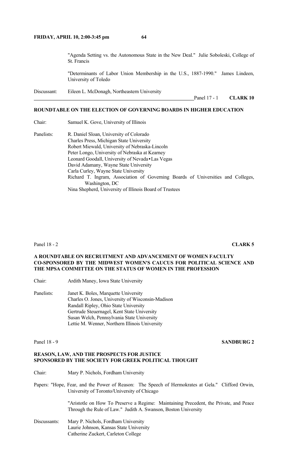"Agenda Setting vs. the Autonomous State in the New Deal." Julie Soboleski, College of St. Francis

 "Determinants of Labor Union Membership in the U.S., 1887-1990." James Lindeen, University of Toledo

Discussant: Eileen L. McDonagh, Northeastern University

Panel 17 - 1 **CLARK 10**

# **ROUNDTABLE ON THE ELECTION OF GOVERNING BOARDS IN HIGHER EDUCATION**

Chair: Samuel K. Gove, University of Illinois

Panelists: R. Daniel Sloan, University of Colorado Charles Press, Michigan State University Robert Miewald, University of Nebraska-Lincoln Peter Longo, University of Nebraska at Kearney Leonard Goodall, University of Nevada•Las Vegas David Adamany, Wayne State University Carla Curley, Wayne State University Richard T. Ingram, Association of Governing Boards of Universities and Colleges, Washington, DC Nina Shepherd, University of Illinois Board of Trustees

#### Panel 18 - 2 **CLARK 5**

# **A ROUNDTABLE ON RECRUITMENT AND ADVANCEMENT OF WOMEN FACULTY CO-SPONSORED BY THE MIDWEST WOMEN'S CAUCUS FOR POLITICAL SCIENCE AND THE MPSA COMMITTEE ON THE STATUS OF WOMEN IN THE PROFESSION**

Chair: Ardith Maney, Iowa State University

Panelists: Janet K. Boles, Marquette University Charles O. Jones, University of Wisconsin-Madison Randall Ripley, Ohio State University Gertrude Steuernagel, Kent State University Susan Welch, Pennsylvania State University Lettie M. Wenner, Northern Illinois University

#### Panel 18 - 9 **SANDBURG 2**

# **REASON, LAW, AND THE PROSPECTS FOR JUSTICE SPONSORED BY THE SOCIETY FOR GREEK POLITICAL THOUGHT**

- Chair: Mary P. Nichols, Fordham University
- Papers: "Hope, Fear, and the Power of Reason: The Speech of Hermokrates at Gela." Clifford Orwin, University of Toronto/University of Chicago

 "Aristotle on How To Preserve a Regime: Maintaining Precedent, the Private, and Peace Through the Rule of Law." Judith A. Swanson, Boston University

Discussants: Mary P. Nichols, Fordham University Laurie Johnson, Kansas State University Catherine Zuckert, Carleton College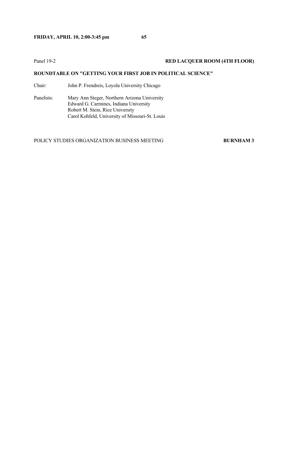# Panel 19-2<br>**RED LACQUER ROOM (4TH FLOOR)**

# **ROUNDTABLE ON "GETTING YOUR FIRST JOB IN POLITICAL SCIENCE"**

Chair: John P. Frendreis, Loyola University Chicago

Panelists: Mary Ann Steger, Northern Arizona University Edward G. Carmines, Indiana University Robert M. Stein, Rice University Carol Kohfeld, University of Missouri-St. Louis

POLICY STUDIES ORGANIZATION BUSINESS MEETING **BURNHAM 3**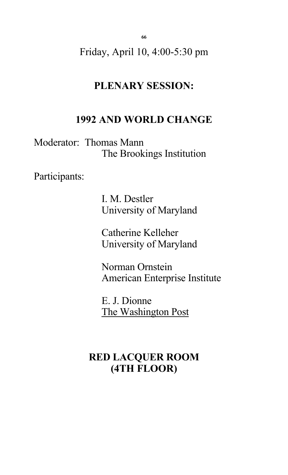**66**

Friday, April 10, 4:00-5:30 pm

# **PLENARY SESSION:**

# **1992 AND WORLD CHANGE**

Moderator: Thomas Mann The Brookings Institution

Participants:

 I. M. Destler University of Maryland

 Catherine Kelleher University of Maryland

 Norman Ornstein American Enterprise Institute

 E. J. Dionne The Washington Post

# **RED LACQUER ROOM (4TH FLOOR)**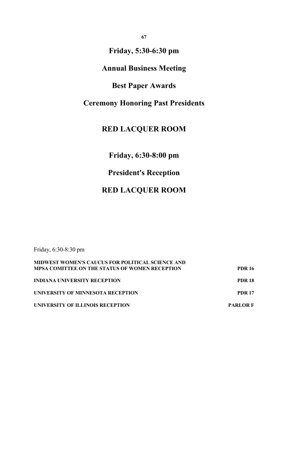**67**

# **Friday, 5:30-6:30 pm**

# **Annual Business Meeting**

# **Best Paper Awards**

# **Ceremony Honoring Past Presidents**

# **RED LACQUER ROOM**

# **Friday, 6:30-8:00 pm**

# **President's Reception**

# **RED LACQUER ROOM**

Friday, 6:30-8:30 pm

| MIDWEST WOMEN'S CAUCUS FOR POLITICAL SCIENCE AND      |                 |
|-------------------------------------------------------|-----------------|
| <b>MPSA COMITTEE ON THE STATUS OF WOMEN RECEPTION</b> | <b>PDR 16</b>   |
| <b>INDIANA UNIVERSITY RECEPTION</b>                   | <b>PDR 18</b>   |
| <b>UNIVERSITY OF MINNESOTA RECEPTION</b>              | <b>PDR 17</b>   |
| UNIVERSITY OF ILLINOIS RECEPTION                      | <b>PARLOR F</b> |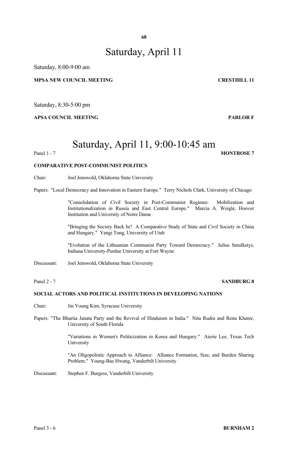# Saturday, April 11

Saturday, 8:00-9:00 am

# **MPSA NEW COUNCIL MEETING CRESTHILL 11**

Saturday, 8:30-5:00 pm

## **APSA COUNCIL MEETING PARLOR F**

# Saturday, April 11, 9:00-10:45 am

### Panel 1 - 7 **MONTROSE** 7

# **COMPARATIVE POST-COMMUNIST POLITICS**

Chair: Joel Jenswold, Oklahoma State University

Papers: "Local Democracy and Innovation in Eastern Europe." Terry Nichols Clark, University of Chicago

 "Consolidation of Civil Society in Post-Communist Regimes: Mobilization and Institutionalization in Russia and East Central Europe." Marcia A. Weigle, Hoover Institution and University of Notre Dame

 "Bringing the Society Back In? A Comparative Study of State and Civil Society in China and Hungary." Yangi Tong, University of Utah

 "Evolution of the Lithuanian Communist Party Toward Democracy." Julius Smulkstys, Indiana University-Purdue University at Fort Wayne

Discussant: Joel Jenswold, Oklahoma State University

#### Panel 2 - 7 SANDBURG 8

### **SOCIAL ACTORS AND POLITICAL INSTITUTIONS IN DEVELOPING NATIONS**

- Chair: Jin Young Kim, Syracuse University
- Papers: "The Bhartia Janata Party and the Revival of Hinduism in India." Nita Rudra and Renu Khator, University of South Florida

 "Variations in Women's Politicization in Korea and Hungary." Aierie Lee, Texas Tech University

 "An Oligopolistic Approach to Alliance: Alliance Formation, Size, and Burden Sharing Problem." Young-Bae Hwang, Vanderbilt University

Discussant: Stephen F. Burgess, Vanderbilt University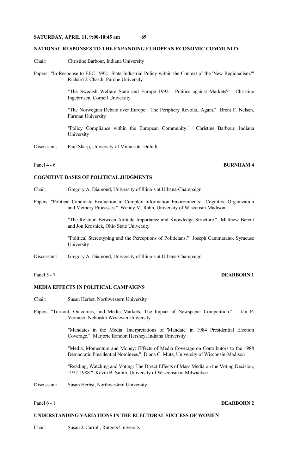#### **NATIONAL RESPONSES TO THE EXPANDING EUROPEAN ECONOMIC COMMUNITY**

- Chair: Christine Barbour, Indiana University
- Papers: "In Response to EEC 1992: State Industrial Policy within the Context of the 'New Regionalism.'" Richard J. Chasdi, Purdue University

 "The Swedish Welfare State and Europe 1992: Politics against Markets?" Christine Ingebritsen, Cornell University

 "The Norwegian Debate over Europe: The Periphery Revolts...Again." Brent F. Nelsen, Furman University

 "Policy Compliance within the European Community." Christine Barbour, Indiana University

Discussant: Paul Sharp, University of Minnesota-Duluth

# Panel 4 - 6 **BURNHAM 4**

#### **COGNITIVE BASES OF POLITICAL JUDGMENTS**

- Chair: Gregory A. Diamond, University of Illinois at Urbana-Champaign
- Papers: "Political Candidate Evaluation in Complex Information Environments: Cognitive Organization and Memory Processes." Wendy M. Rahn, University of Wisconsin-Madison

 "The Relation Between Attitude Importance and Knowledge Structure." Matthew Berent and Jon Krosnick, Ohio State University

 "Political Stereotyping and the Perceptions of Politicians." Joseph Cammarano, Syracuse University

Discussant: Gregory A. Diamond, University of Illinois at Urbana-Champaign

# Panel 5 - 7 **DEARBORN 1**

# **MEDIA EFFECTS IN POLITICAL CAMPAIGNS**

- Chair: Susan Herbst, Northwestern University
- Papers: "Turnout, Outcomes, and Media Markets: The Impact of Newspaper Competition." Jan P. Vermeer, Nebraska Wesleyan University

 "Mandates in the Media: Interpretations of 'Mandate' in 1984 Presidential Election Coverage." Marjorie Randon Hershey, Indiana University

 "Media, Momentum and Money: Effects of Media Coverage on Contributors to the 1988 Democratic Presidential Nominees." Diana C. Mutz, University of Wisconsin-Madison

 "Reading, Watching and Voting: The Direct Effects of Mass Media on the Voting Decision, 1972-1988." Kevin B. Smith, University of Wisconsin at Milwaukee

Discussant: Susan Herbst, Northwestern University

### Panel 6 - 1 **DEARBORN 2**

### **UNDERSTANDING VARIATIONS IN THE ELECTORAL SUCCESS OF WOMEN**

Chair: Susan J. Carroll, Rutgers University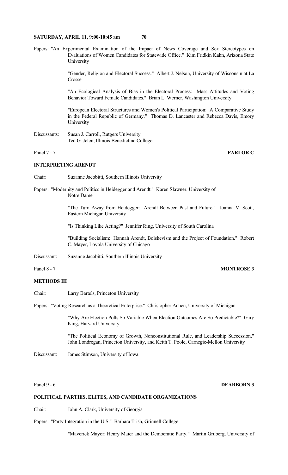Papers: "An Experimental Examination of the Impact of News Coverage and Sex Stereotypes on Evaluations of Women Candidates for Statewide Office." Kim Fridkin Kahn, Arizona State University

> "Gender, Religion and Electoral Success." Albert J. Nelson, University of Wisconsin at La Crosse

> "An Ecological Analysis of Bias in the Electoral Process: Mass Attitudes and Voting Behavior Toward Female Candidates." Brian L. Werner, Washington University

> "European Electoral Structures and Women's Political Participation: A Comparative Study in the Federal Republic of Germany." Thomas D. Lancaster and Rebecca Davis, Emory University

Discussants: Susan J. Carroll, Rutgers University Ted G. Jelen, Illinois Benedictine College

Panel 7 - 7 **PARLOR C**

# **INTERPRETING ARENDT**

- Chair: Suzanne Jacobitti, Southern Illinois University
- Papers: "Modernity and Politics in Heidegger and Arendt." Karen Slawner, University of Notre Dame

 "The Turn Away from Heidegger: Arendt Between Past and Future." Joanna V. Scott, Eastern Michigan University

"Is Thinking Like Acting?" Jennifer Ring, University of South Carolina

 "Building Socialism: Hannah Arendt, Bolshevism and the Project of Foundation." Robert C. Mayer, Loyola University of Chicago

Discussant: Suzanne Jacobitti, Southern Illinois University

Panel 8 - 7 **MONTROSE 3** 

### **METHODS III**

Chair: Larry Bartels, Princeton University

Papers: "Voting Research as a Theoretical Enterprise." Christopher Achen, University of Michigan

 "Why Are Election Polls So Variable When Election Outcomes Are So Predictable?" Gary King, Harvard University

 "The Political Economy of Growth, Nonconstitutional Rule, and Leadership Succession." John Londregan, Princeton University, and Keith T. Poole, Carnegie-Mellon University

Discussant: James Stimson, University of Iowa

# Panel 9 - 6 **DEARBORN 3**

### **POLITICAL PARTIES, ELITES, AND CANDIDATE ORGANIZATIONS**

Chair: John A. Clark, University of Georgia

Papers: "Party Integration in the U.S." Barbara Trish, Grinnell College

"Maverick Mayor: Henry Maier and the Democratic Party." Martin Gruberg, University of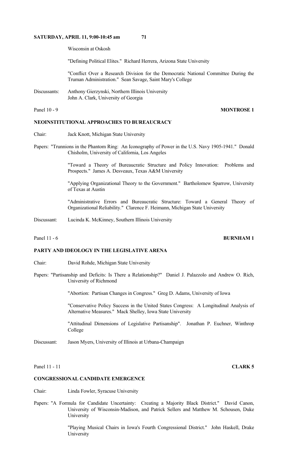Wisconsin at Oskosh

"Defining Political Elites." Richard Herrera, Arizona State University

 "Conflict Over a Research Division for the Democratic National Committee During the Truman Administration." Sean Savage, Saint Mary's College

Discussants: Anthony Gierzynski, Northern Illinois University John A. Clark, University of Georgia

# Panel 10 - 9 **MONTROSE 1**

# **NEOINSTITUTIONAL APPROACHES TO BUREAUCRACY**

- Chair: Jack Knott, Michigan State University
- Papers: "Trunnions in the Phantom Ring: An Iconography of Power in the U.S. Navy 1905-1941." Donald Chisholm, University of California, Los Angeles

 "Toward a Theory of Bureaucratic Structure and Policy Innovation: Problems and Prospects." James A. Desveaux, Texas A&M University

 "Applying Organizational Theory to the Government." Bartholomew Sparrow, University of Texas at Austin

 "Administrative Errors and Bureaucratic Structure: Toward a General Theory of Organizational Reliability." Clarence F. Heimann, Michigan State University

Discussant: Lucinda K. McKinney, Southern Illinois University

# Panel 11 - 6*BURNHAM 1*

#### **PARTY AND IDEOLOGY IN THE LEGISLATIVE ARENA**

- Chair: David Rohde, Michigan State University
- Papers: "Partisanship and Deficits: Is There a Relationship?" Daniel J. Palazzolo and Andrew O. Rich, University of Richmond

"Abortion: Partisan Changes in Congress." Greg D. Adams, University of Iowa

 "Conservative Policy Success in the United States Congress: A Longitudinal Analysis of Alternative Measures." Mack Shelley, Iowa State University

 "Attitudinal Dimensions of Legislative Partisanship". Jonathan P. Euchner, Winthrop College

Discussant: Jason Myers, University of Illinois at Urbana-Champaign

Panel 11 - 11 **CLARK 5** 

### **CONGRESSIONAL CANDIDATE EMERGENCE**

- Chair: Linda Fowler, Syracuse University
- Papers: "A Formula for Candidate Uncertainty: Creating a Majority Black District." David Canon, University of Wisconsin-Madison, and Patrick Sellers and Matthew M. Schousen, Duke University

 "Playing Musical Chairs in Iowa's Fourth Congressional District." John Haskell, Drake **University**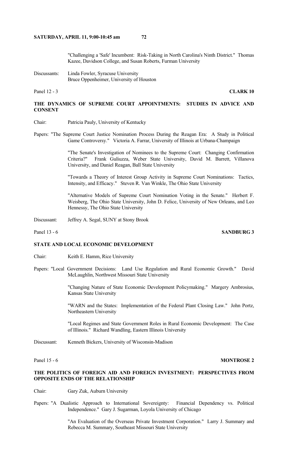"Challenging a 'Safe' Incumbent: Risk-Taking in North Carolina's Ninth District." Thomas Kazee, Davidson College, and Susan Roberts, Furman University

Discussants: Linda Fowler, Syracuse University Bruce Oppenheimer, University of Houston

Panel 12 - 3 **CLARK 10** 

# **THE DYNAMICS OF SUPREME COURT APPOINTMENTS: STUDIES IN ADVICE AND CONSENT**

- Chair: Patricia Pauly, University of Kentucky
- Papers: "The Supreme Court Justice Nomination Process During the Reagan Era: A Study in Political Game Controversy." Victoria A. Farrar, University of Illinois at Urbana-Champaign

 "The Senate's Investigation of Nominees to the Supreme Court: Changing Confirmation Criteria?" Frank Guliuzza, Weber State University, David M. Barrett, Villanova University, and Daniel Reagan, Ball State University

 "Towards a Theory of Interest Group Activity in Supreme Court Nominations: Tactics, Intensity, and Efficacy." Steven R. Van Winkle, The Ohio State University

 "Alternative Models of Supreme Court Nomination Voting in the Senate." Herbert F. Weisberg, The Ohio State University, John D. Felice, University of New Orleans, and Leo Hennessy, The Ohio State University

Discussant: Jeffrey A. Segal, SUNY at Stony Brook

Panel 13 - 6 **SANDBURG 3** 

### **STATE AND LOCAL ECONOMIC DEVELOPMENT**

- Chair: Keith E. Hamm, Rice University
- Papers: "Local Government Decisions: Land Use Regulation and Rural Economic Growth." David McLaughlin, Northwest Missouri State University

 "Changing Nature of State Economic Development Policymaking." Margery Ambrosius, Kansas State University

 "WARN and the States: Implementation of the Federal Plant Closing Law." John Portz, Northeastern University

 "Local Regimes and State Government Roles in Rural Economic Development: The Case of Illinois." Richard Wandling, Eastern Illinois University

Discussant: Kenneth Bickers, University of Wisconsin-Madison

#### Panel 15 - 6*MONTROSE 2*

# **THE POLITICS OF FOREIGN AID AND FOREIGN INVESTMENT: PERSPECTIVES FROM OPPOSITE ENDS OF THE RELATIONSHIP**

Chair: Gary Zuk, Auburn University

Papers: "A Dualistic Approach to International Sovereignty: Financial Dependency vs. Political Independence." Gary J. Sugarman, Loyola University of Chicago

> "An Evaluation of the Overseas Private Investment Corporation." Larry J. Summary and Rebecca M. Summary, Southeast Missouri State University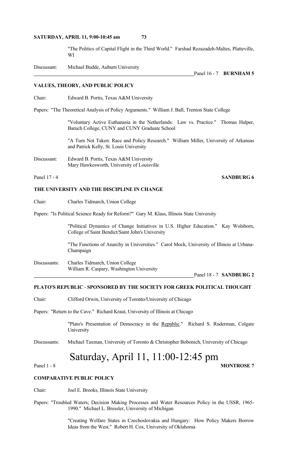"The Politics of Capital Flight in the Third World." Farshad Rezazadeh-Maltes, Platteville, WI

Discussant: Michael Budde, Auburn University

Panel 16 - 7 **BURNHAM 5**

#### **VALUES, THEORY, AND PUBLIC POLICY**

Chair: Edward B. Portis, Texas A&M University

Papers: "The Theoretical Analysis of Policy Arguments." William J. Ball, Trenton State College

 "Voluntary Active Euthanasia in the Netherlands: Law vs. Practice." Thomas Halper, Baruch College, CUNY and CUNY Graduate School

 "A Turn Not Taken: Race and Policy Research." William Miller, University of Arkansas and Patrick Kelly, St. Louis University

Discussant: Edward B. Portis, Texas A&M University Mary Hawkesworth, University of Louisville

## Panel 17 - 4 **SANDBURG 6**

# **THE UNIVERSITY AND THE DISCIPLINE IN CHANGE**

Chair: Charles Tidmarch, Union College

Papers: "Is Political Science Ready for Reform?" Gary M. Klass, Illinois State University

 "Political Dynamics of Change Initiatives in U.S. Higher Education." Kay Wolsborn, College of Saint Bendict/Saint John's University

 "The Functions of Anarchy in Universities." Carol Mock, University of Illinois at Urbana-Champaign

Discussants: Charles Tidmarch, Union College William R. Caspary, Washington University

Panel 18 - 7 **SANDBURG 2**

# **PLATO'S REPUBLIC** - **SPONSORED BY THE SOCIETY FOR GREEK POLITICAL THOUGHT**

Chair: Clifford Orwin, University of Toronto/University of Chicago

Papers: "Return to the Cave." Richard Kraut, University of Illinois at Chicago

"Plato's Presentation of Democracy in the Republic." Richard S. Ruderman, Colgate University

Discussants: Michael Taxman, University of Toronto & Christopher Bobonich, University of Chicago

# Saturday, April 11, 11:00-12:45 pm

#### Panel 1 - 8 **MONTROSE** 7

# **COMPARATIVE PUBLIC POLICY**

Chair: Joel E. Brooks, Illinois State University

Papers: "Troubled Waters; Decision Making Processes and Water Resources Policy in the USSR, 1965- 1990." Michael L. Bressler, University of Michigan

> "Creating Welfare States in Czechoslovakia and Hungary: How Policy Makers Borrow Ideas from the West." Robert H. Cox, University of Oklahoma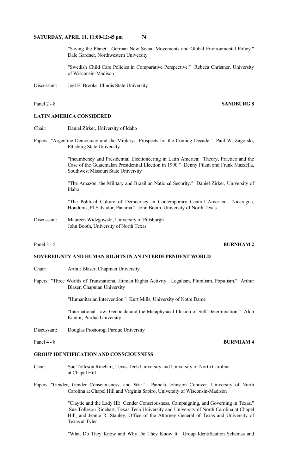"Saving the Planet: German New Social Movements and Global Environmental Policy." Dale Gardner, Northwestern University

 "Swedish Child Care Policies in Comparative Perspective." Rebeca Christner, University of Wisconsin-Madison

Discussant: Joel E. Brooks, Illinois State University

#### Panel 2 - 8 **SANDBURG 8**

# **LATIN AMERICA CONSIDERED**

- Chair: Daniel Zirker, University of Idaho
- Papers: "Argentine Democracy and the Military: Prospects for the Coming Decade." Paul W. Zagorski, Pittsburg State University

 "Incumbency and Presidential Electioneering in Latin America: Theory, Practice and the Case of the Guatemalan Presidential Election in 1990." Denny Pilant and Frank Mazzella, Southwest Missouri State University

 "The Amazon, the Military and Brazilian National Security." Daniel Zirker, University of Idaho

 "The Political Culture of Democracy in Contemporary Central America: Nicaragua, Honduras, El Salvador, Panama." John Booth, University of North Texas

Discussant: Maureen Widzgowski, University of Pittsburgh John Booth, University of North Texas

#### **Panel 3 - 5 <b>BURNHAM 2**

# **SOVEREIGNTY AND HUMAN RIGHTS IN AN INTERDEPENDENT WORLD**

- Chair: Arthur Blaser, Chapman University
- Papers: "Three Worlds of Transnational Human Rights Activity: Legalism, Pluralism, Populism." Arthur Blaser, Chapman University

"Humanitarian Intervention." Kurt Mills, University of Notre Dame

 "International Law, Genocide and the Metaphysical Illusion of Self-Determination." Alon Kantor, Purdue University

Discussant: Douglas Prostorog, Purdue University

### **GROUP IDENTIFICATION AND CONSCIOUSNESS**

- Chair: Sue Tolleson Rinehart, Texas Tech University and University of North Carolina at Chapel Hill
- Papers: "Gender, Gender Consciousness, and War." Pamela Johnston Conover, University of North Carolina at Chapel Hill and Virginia Sapiro, University of Wisconsin-Madison

 "Claytie and the Lady III: Gender Consciousness, Campaigning, and Governing in Texas." Sue Tolleson Rinehart, Texas Tech University and University of North Carolina at Chapel Hill, and Jeanie R. Stanley, Office of the Attorney General of Texas and University of Texas at Tyler

"What Do They Know and Why Do They Know It: Group Identification Schemas and

#### Panel 4 - 8 **BURNHAM 4**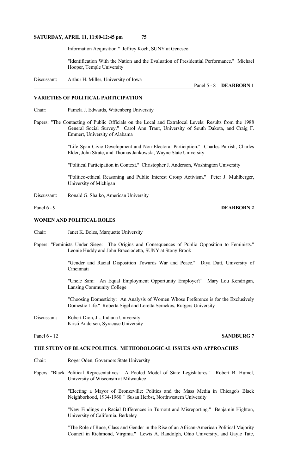Information Acquisition." Jeffrey Koch, SUNY at Geneseo

 "Identification With the Nation and the Evaluation of Presidential Performance." Michael Hooper, Temple University

Discussant: Arthur H. Miller, University of Iowa

#### **VARIETIES OF POLITICAL PARTICIPATION**

Chair: Pamela J. Edwards, Wittenberg University

Papers: "The Contacting of Public Officials on the Local and Extralocal Levels: Results from the 1988 General Social Survey." Carol Ann Traut, University of South Dakota, and Craig F. Emmert, University of Alabama

> "Life Span Civic Development and Non-Electoral Particiption." Charles Parrish, Charles Elder, John Strate, and Thomas Jankowski, Wayne State University

"Political Participation in Context." Christopher J. Anderson, Washington University

 "Politico-ethical Reasoning and Public Interest Group Activism." Peter J. Muhlberger, University of Michigan

Discussant: Ronald G. Shaiko, American University

# **WOMEN AND POLITICAL ROLES**

Chair: Janet K. Boles, Marquette University

Papers: "Feminists Under Siege: The Origins and Consequences of Public Opposition to Feminists." Leonie Huddy and John Bracciodetta, SUNY at Stony Brook

> "Gender and Racial Disposition Towards War and Peace." Diya Dutt, University of **Cincinnati**

> "Uncle Sam: An Equal Employment Opportunity Employer?" Mary Lou Kendrigan, Lansing Community College

> "Choosing Domesticity: An Analysis of Women Whose Preference is for the Exclusively Domestic Life." Roberta Sigel and Loretta Sernekos, Rutgers University

Discussant: Robert Dion, Jr., Indiana University Kristi Andersen, Syracuse University

### **Panel 6 - 12 SANDBURG 7**

## **THE STUDY OF BLACK POLITICS: METHODOLOGICAL ISSUES AND APPROACHES**

- Chair: Roger Oden, Governors State University
- Papers: "Black Political Representatives: A Pooled Model of State Legislatures." Robert B. Humel, University of Wisconsin at Milwaukee

 "Electing a Mayor of Bronzeville: Politics and the Mass Media in Chicago's Black Neighborhood, 1934-1960." Susan Herbst, Northwestern University

 "New Findings on Racial Differences in Turnout and Misreporting." Benjamin Highton, University of California, Berkeley

 "The Role of Race, Class and Gender in the Rise of an African-American Political Majority Council in Richmond, Virginia." Lewis A. Randolph, Ohio University, and Gayle Tate,

#### Panel 6 - 9 **DEARBORN 2**

Panel 5 - 8 **DEARBORN 1**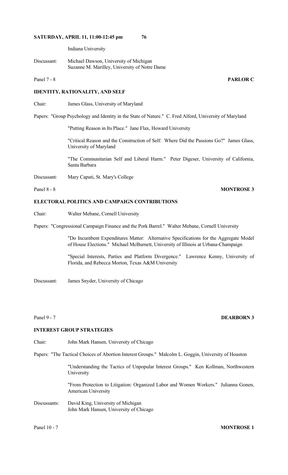Indiana University

Discussant: Michael Dawson, University of Michigan Suzanne M. Marilley, University of Notre Dame

# **IDENTITY, RATIONALITY, AND SELF**

Chair: James Glass, University of Maryland

Papers: "Group Psychology and Identity in the State of Nature." C. Fred Alford, University of Maryland

"Putting Reason in Its Place." Jane Flax, Howard University

 "Critical Reason and the Construction of Self: Where Did the Passions Go?" James Glass, University of Maryland

 "The Communitarian Self and Liberal Harm." Peter Digeser, University of California, Santa Barbara

Discussant: Mary Caputi, St. Mary's College

### Panel 8 - 8 **MONTROSE 3**

# **ELECTORAL POLITICS AND CAMPAIGN CONTRIBUTIONS**

Chair: Walter Mebane, Cornell University

Papers: "Congressional Campaign Finance and the Pork Barrel." Walter Mebane, Cornell University

 "Do Incumbent Expenditures Matter: Alternative Specifications for the Aggregate Model of House Elections." Michael McBurnett, University of Illinois at Urbana-Champaign

 "Special Interests, Parties and Platform Divergence." Lawrence Kenny, University of Florida, and Rebecca Morton, Texas A&M University

Discussant: James Snyder, University of Chicago

# **INTEREST GROUP STRATEGIES**

Chair: John Mark Hansen, University of Chicago

Papers: "The Tactical Choices of Abortion Interest Groups." Malcolm L. Goggin, University of Houston

 "Understanding the Tactics of Unpopular Interest Groups." Ken Kollman, Northwestern University

 "From Protection to Litigation: Organized Labor and Women Workers." Julianna Gonen, American University

Discussants: David King, University of Michigan John Mark Hansen, University of Chicago

# Panel 10 - 7 **MONTROSE 1**

# Panel 9 - 7 **DEARBORN 3**

Panel 7 - 8 **PARLOR C**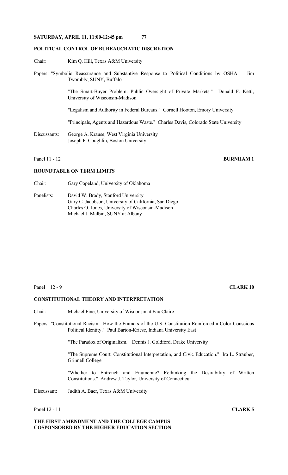### **POLITICAL CONTROL OF BUREAUCRATIC DISCRETION**

- Chair: Kim Q. Hill, Texas A&M University
- Papers: "Symbolic Reassurance and Substantive Response to Political Conditions by OSHA." Jim Twombly, SUNY, Buffalo

 "The Smart-Buyer Problem: Public Oversight of Private Markets." Donald F. Kettl, University of Wisconsin-Madison

"Legalism and Authority in Federal Bureaus." Cornell Hooton, Emory University

"Principals, Agents and Hazardous Waste." Charles Davis, Colorado State University

Discussants: George A. Krause, West Virginia University Joseph F. Coughlin, Boston University

Panel 11 - 12 **BURNHAM 1** 

#### **ROUNDTABLE ON TERM LIMITS**

- Chair: Gary Copeland, University of Oklahoma
- Panelists: David W. Brady, Stanford University Gary C. Jacobson, University of California, San Diego Charles O. Jones, University of Wisconsin-Madison Michael J. Malbin, SUNY at Albany

#### Panel 12 - 9 **CLARK 10**

### **CONSTITUTIONAL THEORY AND INTERPRETATION**

Chair: Michael Fine, University of Wisconsin at Eau Claire

Papers: "Constitutional Racism: How the Framers of the U.S. Constitution Reinforced a Color-Conscious Political Identity." Paul Barton-Kriese, Indiana University East

"The Paradox of Originalism." Dennis J. Goldford, Drake University

 "The Supreme Court, Constitutional Interpretation, and Civic Education." Ira L. Strauber, Grinnell College

 "Whether to Entrench and Enumerate? Rethinking the Desirability of Written Constitutions." Andrew J. Taylor, University of Connecticut

Discussant: Judith A. Baer, Texas A&M University

**THE FIRST AMENDMENT AND THE COLLEGE CAMPUS COSPONSORED BY THE HIGHER EDUCATION SECTION**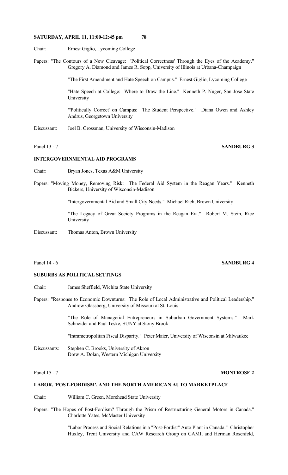- Chair: Ernest Giglio, Lycoming College
- Papers: "The Contours of a New Cleavage: 'Political Correctness' Through the Eyes of the Academy." Gregory A. Diamond and James R. Sopp, University of Illinois at Urbana-Champaign

"The First Amendment and Hate Speech on Campus." Ernest Giglio, Lycoming College

 "Hate Speech at College: Where to Draw the Line." Kenneth P. Nuger, San Jose State University

 "'Politically Correct' on Campus: The Student Perspective." Diana Owen and Ashley Andrus, Georgetown University

Discussant: Joel B. Grossman, University of Wisconsin-Madison

# Panel 13 - 7 **SANDBURG 3**

### **INTERGOVERNMENTAL AID PROGRAMS**

- Chair: Bryan Jones, Texas A&M University
- Papers: "Moving Money, Removing Risk: The Federal Aid System in the Reagan Years." Kenneth Bickers, University of Wisconsin-Madison

"Intergovernmental Aid and Small City Needs." Michael Rich, Brown University

 "The Legacy of Great Society Programs in the Reagan Era." Robert M. Stein, Rice University

Discussant: Thomas Anton, Brown University

### Panel 14 - 6 **SANDBURG 4**

### **SUBURBS AS POLITICAL SETTINGS**

- Chair: James Sheffield, Wichita State University
- Papers: "Response to Economic Downturns: The Role of Local Administrative and Political Leadership." Andrew Glassberg, University of Missouri at St. Louis

 "The Role of Managerial Entrepreneurs in Suburban Government Systems." Mark Schneider and Paul Teske, SUNY at Stony Brook

"Intrametropolitan Fiscal Disparity." Peter Maier, University of Wisconsin at Milwaukee

Discussants: Stephen C. Brooks, University of Akron Drew A. Dolan, Western Michigan University

#### **Panel 15 - 7 MONTROSE 2**

#### **LABOR, 'POST-FORDISM', AND THE NORTH AMERICAN AUTO MARKETPLACE**

- Chair: William C. Green, Morehead State University
- Papers: "The Hopes of Post-Fordism? Through the Prism of Restructuring General Motors in Canada." Charlotte Yates, McMaster University

 "Labor Process and Social Relations in a "Post-Fordist" Auto Plant in Canada." Christopher Huxley, Trent University and CAW Research Group on CAMI, and Herman Rosenfeld,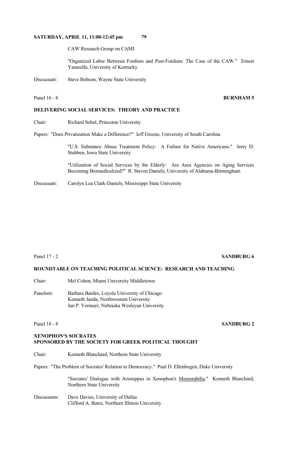CAW Research Group on CAMI

 "Organized Labor Between Fordism and Post-Fordism: The Case of the CAW." Ernest Yanarella, University of Kentucky

Discussant: Steve Bobson, Wayne State University

# Panel 16 - 8 **BURNHAM 5**

# **DELIVERING SOCIAL SERVICES: THEORY AND PRACTICE**

Chair: Richard Sobel, Princeton University

Papers: "Does Privatization Make a Difference?" Jeff Greene, University of South Carolina

 "U.S. Substance Abuse Treatment Policy: A Failure for Native Americans." Jerry D. Stubben, Iowa State University

 "Utilization of Social Services by the Elderly: Are Area Agencies on Aging Services Becoming Biomedicalized?" R. Steven Daniels, University of Alabama-Birmingham

Discussant: Carolyn Lea Clark-Daniels, Mississippi State University

### Panel 17 - 2 **SANDBURG 6**

# **ROUNDTABLE ON TEACHING POLITICAL SCIENCE: RESEARCH AND TEACHING**

Chair: Mel Cohen, Miami University Middletown

Panelists: Barbara Bardes, Loyola University of Chicago Kenneth Janda, Northwestern University Jan P. Vermeer, Nebraska Wesleyan University

# Panel 18 - 8 **SANDBURG 2**

# **XENOPHON'S SOCRATES SPONSORED BY THE SOCIETY FOR GREEK POLITICAL THOUGHT**

Chair: Kenneth Blanchard, Northern State University

Papers: "The Problem of Socrates' Relation to Democracy." Paul D. Ellenbogen, Duke University

"Socrates' Dialogue with Aristuppus in Xenophon's Memorabilia." Kenneth Blanchard, Northern State University

Discussants: Dave Davies, University of Dallas Clifford A. Bates, Northern Illinois University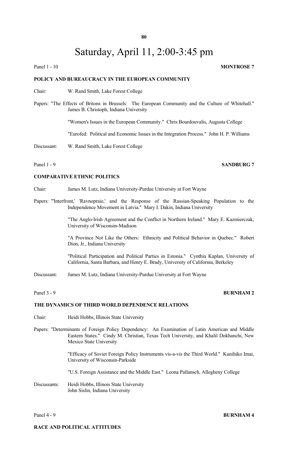# Saturday, April 11, 2:00-3:45 pm

#### Panel 1 - 10 **MONTROSE** 7

### **POLICY AND BUREAUCRACY IN THE EUROPEAN COMMUNITY**

Chair: W. Rand Smith, Lake Forest College

Papers: "The Effects of Britons in Brussels: The European Community and the Culture of Whitehall." James B. Christoph, Indiana University

"Women's Issues in the European Community." Chris Bourdouvalis, Augusta College

"Eurofed: Political and Economic Issues in the Integration Process." John H. P. Williams

Discussant: W. Rand Smith, Lake Forest College

#### **COMPARATIVE ETHNIC POLITICS**

Chair: James M. Lutz, Indiana University-Purdue University at Fort Wayne

Papers: "'Interfront,' 'Ravnopraie,' and the Response of the Russian-Speaking Population to the Independence Movement in Latvia." Mary I. Dakin, Indiana University

> "The Anglo-Irish Agreement and the Conflict in Northern Ireland." Mary E. Kazmierczak, University of Wisconsin-Madison

> "A Province Not Like the Others: Ethnicity and Political Behavior in Quebec." Robert Dion, Jr., Indiana University

> "Political Participation and Political Parties in Estonia." Cynthia Kaplan, University of California, Santa Barbara, and Henry E. Brady, University of California, Berkeley

Discussant: James M. Lutz, Indiana University-Purdue University at Fort Wayne

# **Panel 3 - 9 <b>BURNHAM 2**

## **THE DYNAMICS OF THIRD WORLD DEPENDENCE RELATIONS**

- Chair: Heidi Hobbs, Illinois State University
- Papers: "Determinants of Foreign Policy Dependency: An Examination of Latin American and Middle Eastern States." Cindy M. Christian, Texas Tech University, and Khalil Dokhanchi, New Mexico State University

 "Efficacy of Soviet Foreign Policy Instruments vis-a-vis the Third World." Kunihiko Imai, University of Wisconsin-Parkside

"U.S. Foreign Assistance and the Middle East." Leona Pallansch, Allegheny College

Discussants: Heidi Hobbs, Illinois State University John Sislin, Indiana University

#### Panel 4 - 9 **BURNHAM 4**

# **RACE AND POLITICAL ATTITUDES**

#### Panel 1 - 9 **SANDBURG** 7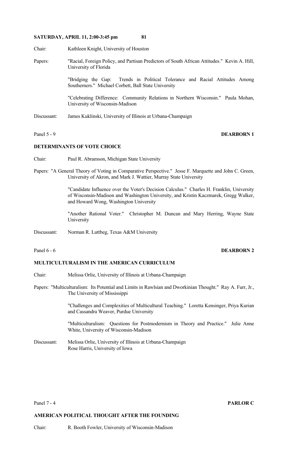- Chair: Kathleen Knight, University of Houston
- Papers: "Racial, Foreign Policy, and Partisan Predictors of South African Attitudes." Kevin A. Hill, University of Florida

 "Bridging the Gap: Trends in Political Tolerance and Racial Attitudes Among Southerners." Michael Corbett, Ball State University

 "Celebrating Difference: Community Relations in Northern Wisconsin." Paula Mohan, University of Wisconsin-Madison

Discussant: James Kuklinski, University of Illinois at Urbana-Champaign

# Panel 5 - 9 **DEARBORN 1**

# **DETERMINANTS OF VOTE CHOICE**

- Chair: Paul R. Abramson, Michigan State University
- Papers: "A General Theory of Voting in Comparative Perspective." Jesse F. Marquette and John C. Green, University of Akron, and Mark J. Wattier, Murray State University

 "Candidate Influence over the Voter's Decision Calculus." Charles H. Franklin, University of Wisconsin-Madison and Washington University, and Kristin Kaczmarek, Gregg Walker, and Howard Wong, Washington University

 "Another Rational Voter." Christopher M. Duncan and Mary Herring, Wayne State University

Discussant: Norman R. Luttbeg, Texas A&M University

### **MULTICULTURALISM IN THE AMERICAN CURRICULUM**

- Chair: Melissa Orlie, University of Illinois at Urbana-Champaign
- Papers: "Multiculturalism: Its Potential and Limits in Rawlsian and Dworkinian Thought." Ray A. Furr, Jr., The University of Mississippi

 "Challenges and Complexities of Multicultural Teaching." Loretta Kensinger, Priya Kurian and Cassandra Weaver, Purdue University

 "Multiculturalism: Questions for Postmodernism in Theory and Practice." Julie Anne White, University of Wisconsin-Madison

Discussant: Melissa Orlie, University of Illinois at Urbana-Champaign Rose Harris, University of Iowa

#### Panel 7 - 4 **PARLOR C**

#### **AMERICAN POLITICAL THOUGHT AFTER THE FOUNDING**

Chair: R. Booth Fowler, University of Wisconsin-Madison

### Panel 6 - 6*DEARBORN 2*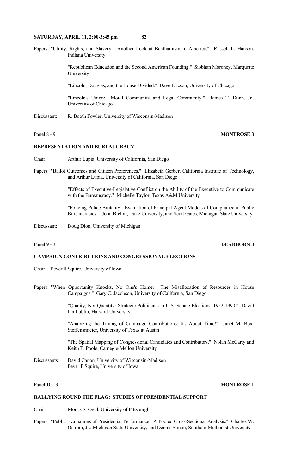Papers: "Utility, Rights, and Slavery: Another Look at Benthamism in America." Russell L. Hanson, Indiana University

> "Republican Education and the Second American Founding." Siobhan Moroney, Marquette University

"Lincoln, Douglas, and the House Divided." Dave Ericson, University of Chicago

 "Lincoln's Union: Moral Community and Legal Community." James T. Dunn, Jr., University of Chicago

Discussant: R. Booth Fowler, University of Wisconsin-Madison

# Panel 8 - 9 **MONTROSE 3**

# **REPRESENTATION AND BUREAUCRACY**

- Chair: Arthur Lupia, University of California, San Diego
- Papers: "Ballot Outcomes and Citizen Preferences." Elizabeth Gerber, California Institute of Technology, and Arthur Lupia, University of California, San Diego

 "Effects of Executive-Legislative Conflict on the Ability of the Executive to Communicate with the Bureaucracy." Michelle Taylor, Texas A&M University

 "Policing Police Brutality: Evaluation of Principal-Agent Models of Compliance in Public Bureaucracies." John Brehm, Duke University, and Scott Gates, Michigan State University

Discussant: Doug Dion, University of Michigan

# Panel 9 - 3 **DEARBORN 3**

# **CAMPAIGN CONTRIBUTIONS AND CONGRESSIONAL ELECTIONS**

- Chair: Peverill Squire, University of Iowa
- Papers: "When Opportunity Knocks, No One's Home: The Misallocation of Resources in House Campaigns." Gary C. Jacobson, University of California, San Diego

 "Quality, Not Quantity: Strategic Politicians in U.S. Senate Elections, 1952-1990." David Ian Lublin, Harvard University

 "Analyzing the Timing of Campaign Contributions: It's About Time!" Janet M. Box-Steffensmieier, University of Texas at Austin

 "The Spatial Mapping of Congressional Candidates and Contributors." Nolan McCarty and Keith T. Poole, Carnegie-Mellon University

Discussants: David Canon, University of Wisconsin-Madison Peverill Squire, University of Iowa

#### Panel 10 - 3 **MONTROSE** 1

#### **RALLYING ROUND THE FLAG: STUDIES OF PRESIDENTIAL SUPPORT**

Chair: Morris S. Ogul, University of Pittsburgh

Papers: "Public Evaluations of Presidential Performance: A Pooled Cross-Sectional Analysis." Charles W. Ostrom, Jr., Michigan State University, and Dennis Simon, Southern Methodist University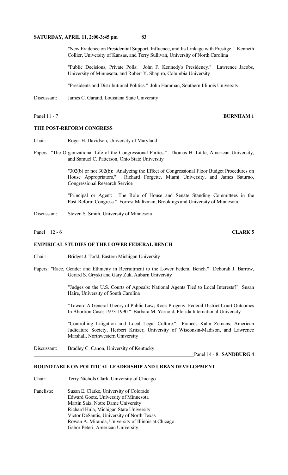"New Evidence on Presidential Support, Influence, and Its Linkage with Prestige." Kenneth Collier, University of Kansas, and Terry Sullivan, University of North Carolina

 "Public Decisions, Private Polls: John F. Kennedy's Presidency." Lawrence Jacobs, University of Minnesota, and Robert Y. Shapiro, Columbia University

"Presidents and Distributional Politics." John Hamman, Southern Illinois University

Discussant: James C. Garand, Louisiana State University

#### **THE POST-REFORM CONGRESS**

Chair: Roger H. Davidson, University of Maryland

Papers: "The Organizational Life of the Congressional Parties." Thomas H. Little, American University, and Samuel C. Patterson, Ohio State University

> "302(b) or not 302(b): Analyzing the Effect of Congressional Floor Budget Procedures on House Appropriators." Richard Forgette, Miami University, and James Saturno, Congressional Research Service

> "Principal or Agent: The Role of House and Senate Standing Committees in the Post-Reform Congress." Forrest Maltzman, Brookings and University of Minnesota

- Discussant: Steven S. Smith, University of Minnesota
- Panel 12 6 **CLARK 5**

## **EMPIRICAL STUDIES OF THE LOWER FEDERAL BENCH**

- Chair: Bridget J. Todd, Eastern Michigan University
- Papers: "Race, Gender and Ethnicity in Recruitment to the Lower Federal Bench." Deborah J. Barrow, Gerard S. Gryski and Gary Zuk, Auburn University

 "Judges on the U.S. Courts of Appeals: National Agents Tied to Local Interests?" Susan Haire, University of South Carolina

"Toward A General Theory of Public Law; Roe's Progeny: Federal District Court Outcomes In Abortion Cases 1973-1990." Barbara M. Yarnold, Florida International University

 "Controlling Litigation and Local Legal Culture." Frances Kahn Zemans, American Judicature Society, Herbert Kritzer, University of Wisconsin-Madison, and Lawrence Marshall, Northwestern University

Discussant: Bradley C. Canon, University of Kentucky

Panel 14 - 8 **SANDBURG 4**

# **ROUNDTABLE ON POLITICAL LEADERSHIP AND URBAN DEVELOPMENT**

Chair: Terry Nichols Clark, University of Chicago Panelists: Susan E. Clarke, University of Colorado Edward Goetz, University of Minnesota Martin Saiz, Notre Dame University Richard Hula, Michigan State University Victor DeSantis, University of North Texas Rowan A. Miranda, University of Illinois at Chicago Gabor Peteri, American University

Panel 11 - 7 **BURNHAM 1**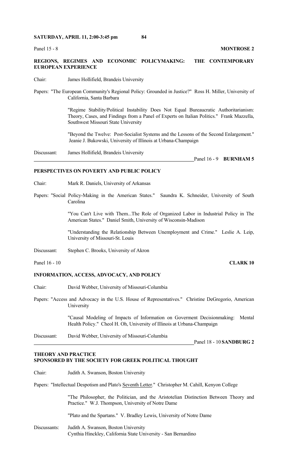Panel 15 - 8 **MONTROSE 2** 

### **REGIONS, REGIMES AND ECONOMIC POLICYMAKING: THE CONTEMPORARY EUROPEAN EXPERIENCE**

- Chair: James Hollifield, Brandeis University
- Papers: "The European Community's Regional Policy: Grounded in Justice?" Ross H. Miller, University of California, Santa Barbara

 "Regime Stability/Political Instability Does Not Equal Bureaucratic Authoritarianism: Theory, Cases, and Findings from a Panel of Experts on Italian Politics." Frank Mazzella, Southwest Missouri State University

 "Beyond the Twelve: Post-Socialist Systems and the Lessons of the Second Enlargement." Jeanie J. Bukowski, University of Illinois at Urbana-Champaign

Discussant: James Hollifield, Brandeis University

Panel 16 - 9 **BURNHAM 5**

#### **PERSPECTIVES ON POVERTY AND PUBLIC POLICY**

- Chair: Mark R. Daniels, University of Arkansas
- Papers: "Social Policy-Making in the American States." Saundra K. Schneider, University of South Carolina

 "You Can't Live with Them...The Role of Organized Labor in Industrial Policy in The American States." Daniel Smith, University of Wisconsin-Madison

 "Understanding the Relationship Between Unemployment and Crime." Leslie A. Leip, University of Missouri-St. Louis

Discussant: Stephen C. Brooks, University of Akron

Panel 16 - 10 **CLARK 10** 

### **INFORMATION, ACCESS, ADVOCACY, AND POLICY**

- Chair: David Webber, University of Missouri-Columbia
- Papers: "Access and Advocacy in the U.S. House of Representatives." Christine DeGregorio, American University

 "Causal Modeling of Impacts of Information on Goverment Decisionmaking: Mental Health Policy." Cheol H. Oh, University of Illinois at Urbana-Champaign

Discussant: David Webber, University of Missouri-Columbia

#### **THEORY AND PRACTICE SPONSORED BY THE SOCIETY FOR GREEK POLITICAL THOUGHT**

Chair: Judith A. Swanson, Boston University

Papers: "Intellectual Despotism and Plato's Seventh Letter." Christopher M. Cahill, Kenyon College

 "The Philosopher, the Politician, and the Aristotelian Distinction Between Theory and Practice." W.J. Thompson, University of Notre Dame

"Plato and the Spartans." V. Bradley Lewis, University of Notre Dame

Discussants: Judith A. Swanson, Boston University Cynthia Hinckley, California State University - San Bernardino

Panel 18 - 10 **SANDBURG 2**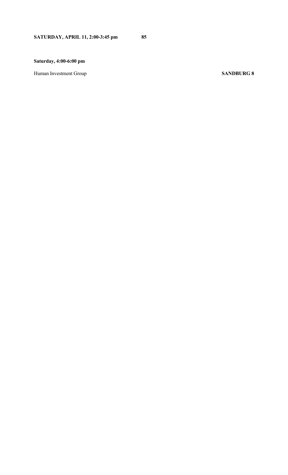# **Saturday, 4:00-6:00 pm**

Human Investment Group<br>
SANDBURG 8